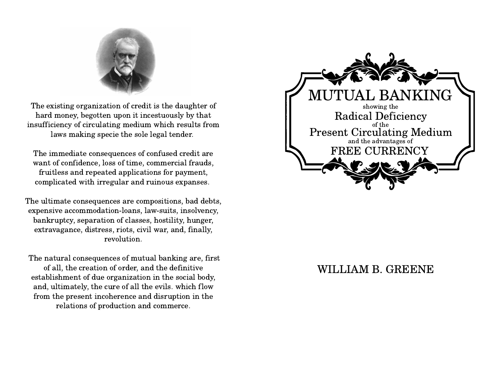

The existing organization of credit is the daughter of hard money, begotten upon it incestuously by that insufficiency of circulating medium which results from laws making specie the sole legal tender.

The immediate consequences of confused credit are want of confidence, loss of time, commercial frauds, fruitless and repeated applications for payment, complicated with irregular and ruinous expanses.

The ultimate consequences are compositions, bad debts, expensive accommodation-loans, law-suits, insolvency, bankruptcy, separation of classes, hostility, hunger, extravagance, distress, riots, civil war, and, finally, revolution.

The natural consequences of mutual banking are, first of all, the creation of order, and the definitive establishment of due organization in the social body, and, ultimately, the cure of all the evils. which flow from the present incoherence and disruption in the relations of production and commerce.



### WILLIAM B. GREENE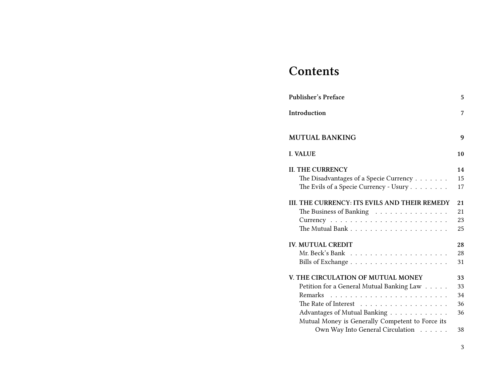# **Contents**

| <b>Publisher's Preface</b>                                                       |  |
|----------------------------------------------------------------------------------|--|
| Introduction                                                                     |  |
| <b>MUTUAL BANKING</b>                                                            |  |
| <b>I. VALUE</b>                                                                  |  |
| <b>II. THE CURRENCY</b>                                                          |  |
| The Disadvantages of a Specie Currency                                           |  |
| The Evils of a Specie Currency - Usury                                           |  |
| III. THE CURRENCY: ITS EVILS AND THEIR REMEDY                                    |  |
| The Business of Banking                                                          |  |
|                                                                                  |  |
|                                                                                  |  |
| <b>IV. MUTUAL CREDIT</b>                                                         |  |
|                                                                                  |  |
|                                                                                  |  |
| V. THE CIRCULATION OF MUTUAL MONEY                                               |  |
| Petition for a General Mutual Banking Law                                        |  |
| Remarks                                                                          |  |
| The Rate of Interest                                                             |  |
| Advantages of Mutual Banking<br>Mutual Money is Generally Competent to Force its |  |
| Own Way Into General Circulation                                                 |  |

3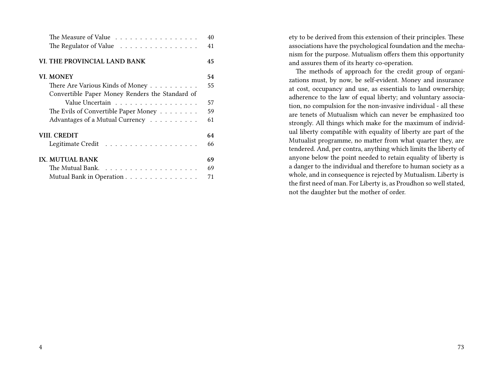| The Measure of Value                            | 40 |
|-------------------------------------------------|----|
| The Regulator of Value                          | 41 |
| VI. THE PROVINCIAL LAND BANK                    | 45 |
| <b>VI. MONEY</b>                                | 54 |
| There Are Various Kinds of Money                | 55 |
| Convertible Paper Money Renders the Standard of |    |
| Value Uncertain                                 | 57 |
| The Evils of Convertible Paper Money            | 59 |
| Advantages of a Mutual Currency                 | 61 |
| VIII. CREDIT                                    | 64 |
|                                                 | 66 |
| IX. MUTUAL BANK                                 | 69 |
|                                                 | 69 |
| Mutual Bank in Operation                        | 71 |

ety to be derived from this extension of their principles. These associations have the psychological foundation and the mechanism for the purpose. Mutualism offers them this opportunity and assures them of its hearty co-operation.

The methods of approach for the credit group of organizations must, by now, be self-evident. Money and insurance at cost, occupancy and use, as essentials to land ownership; adherence to the law of equal liberty; and voluntary association, no compulsion for the non-invasive individual - all these are tenets of Mutualism which can never be emphasized too strongly. All things which make for the maximum of individual liberty compatible with equality of liberty are part of the Mutualist programme, no matter from what quarter they, are tendered. And, per contra, anything which limits the liberty of anyone below the point needed to retain equality of liberty is a danger to the individual and therefore to human society as a whole, and in consequence is rejected by Mutualism. Liberty is the first need of man. For Liberty is, as Proudhon so well stated, not the daughter but the mother of order.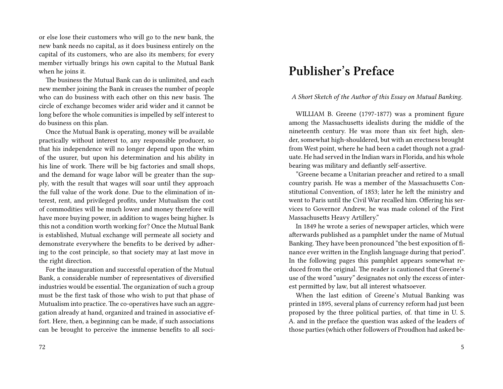or else lose their customers who will go to the new bank, the new bank needs no capital, as it does business entirely on the capital of its customers, who are also its members; for every member virtually brings his own capital to the Mutual Bank when he joins it.

The business the Mutual Bank can do is unlimited, and each new member joining the Bank in creases the number of people who can do business with each other on this new basis. The circle of exchange becomes wider arid wider and it cannot be long before the whole comunities is impelled by self interest to do business on this plan.

Once the Mutual Bank is operating, money will be available practically without interest to, any responsible producer, so that his independence will no longer depend upon the whim of the usurer, but upon his determination and his ability in his line of work. There will be big factories and small shops, and the demand for wage labor will be greater than the supply, with the result that wages will soar until they approach the full value of the work done. Due to the elimination of interest, rent, and privileged profits, under Mutualism the cost of commodities will be much lower and money therefore will have more buying power, in addition to wages being higher. Is this not a condition worth working for? Once the Mutual Bank is established, Mutual exchange will permeate all society and demonstrate everywhere the benefits to be derived by adhering to the cost principle, so that society may at last move in the right direction.

For the inauguration and successful operation of the Mutual Bank, a considerable number of representatives of diversified industries would be essential. The organization of such a group must be the first task of those who wish to put that phase of Mutualism into practice. The co-operatives have such an aggregation already at hand, organized and trained in associative effort. Here, then, a beginning can be made, if such associations can be brought to perceive the immense benefits to all soci-

#### 72

### **Publisher's Preface**

#### *A Short Sketch of the Author of this Essay on Mutual Banking.*

WILLIAM B. Greene (1797-1877) was a prominent figure among the Massachusetts idealists during the middle of the nineteenth century. He was more than six feet high, slender, somewhat high-shouldered, but with an erectness brought from West point, where he had been a cadet though not a graduate. He had served in the Indian wars in Florida, and his whole bearing was military and defiantly self-assertive.

"Greene became a Unitarian preacher and retired to a small country parish. He was a member of the Massachusetts Constitutional Convention, of 1853; later he left the ministry and went to Paris until the Civil War recalled him. Offering his services to Governor Andrew, he was made colonel of the First Massachusetts Heavy Artillery."

In 1849 he wrote a series of newspaper articles, which were afterwards published as a pamphlet under the name of Mutual Banking. They have been pronounced "the best exposition of finance ever written in the English language during that period". In the following pages this pamphlet appears somewhat reduced from the original. The reader is cautioned that Greene's use of the word "usury" designates not only the excess of interest permitted by law, but all interest whatsoever.

When the last edition of Greene's Mutual Banking was printed in 1895, several plans of currency reform had just been proposed by the three political parties, of. that time in U. S. A. and in the preface the question was asked of the leaders of those parties (which other followers of Proudhon had asked be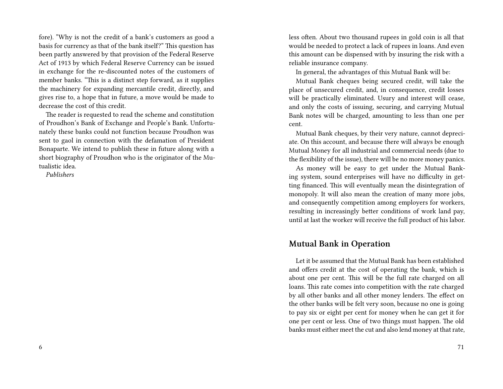fore). "Why is not the credit of a bank's customers as good a basis for currency as that of the bank itself?" This question has been partly answered by that provision of the Federal Reserve Act of 1913 by which Federal Reserve Currency can be issued in exchange for the re-discounted notes of the customers of member banks. "This is a distinct step forward, as it supplies the machinery for expanding mercantile credit, directly, and gives rise to, a hope that in future, a move would be made to decrease the cost of this credit.

The reader is requested to read the scheme and constitution of Proudhon's Bank of Exchange and People's Bank. Unfortunately these banks could not function because Proudhon was sent to gaol in connection with the defamation of President Bonaparte. We intend to publish these in future along with a short biography of Proudhon who is the originator of the Mutualistic idea.

*Publishers*

less often. About two thousand rupees in gold coin is all that would be needed to protect a lack of rupees in loans. And even this amount can be dispensed with by insuring the risk with a reliable insurance company.

In general, the advantages of this Mutual Bank will be:

Mutual Bank cheques being secured credit, will take the place of unsecured credit, and, in consequence, credit losses will be practically eliminated. Usury and interest will cease, and only the costs of issuing, securing, and carrying Mutual Bank notes will be charged, amounting to less than one per cent.

Mutual Bank cheques, by their very nature, cannot depreciate. On this account, and because there will always be enough Mutual Money for all industrial and commercial needs (due to the flexibility of the issue), there will be no more money panics.

As money will be easy to get under the Mutual Banking system, sound enterprises will have no difficulty in getting financed. This will eventually mean the disintegration of monopoly. It will also mean the creation of many more jobs, and consequently competition among employers for workers, resulting in increasingly better conditions of work land pay, until at last the worker will receive the full product of his labor.

#### **Mutual Bank in Operation**

Let it be assumed that the Mutual Bank has been established and offers credit at the cost of operating the bank, which is about one per cent. This will be the full rate charged on all loans. This rate comes into competition with the rate charged by all other banks and all other money lenders. The effect on the other banks will be felt very soon, because no one is going to pay six or eight per cent for money when he can get it for one per cent or less. One of two things must happen. The old banks must either meet the cut and also lend money at that rate,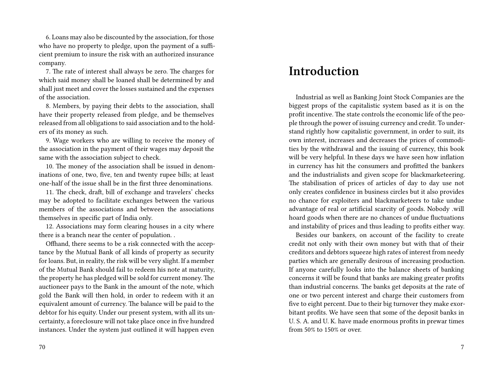6. Loans may also be discounted by the association, for those who have no property to pledge, upon the payment of a sufficient premium to insure the risk with an authorized insurance company.

7. The rate of interest shall always be zero. The charges for which said money shall be loaned shall be determined by and shall just meet and cover the losses sustained and the expenses of the association.

8. Members, by paying their debts to the association, shall have their property released from pledge, and be themselves released from all obligations to said association and to the holders of its money as such.

9. Wage workers who are willing to receive the money of the association in the payment of their wages may deposit the same with the association subject to check.

10. The money of the association shall be issued in denominations of one, two, five, ten and twenty rupee bills; at least one-half of the issue shall be in the first three denominations.

11. The check, draft, bill of exchange and travelers' checks may be adopted to facilitate exchanges between the various members of the associations and between the associations themselves in specific part of India only.

12. Associations may form clearing houses in a city where there is a branch near the center of population. .

Offhand, there seems to be a risk connected with the acceptance by the Mutual Bank of all kinds of property as security for loans. But, in reality, the risk will be very slight. If a member of the Mutual Bank should fail to redeem his note at maturity, the property he has pledged will be sold for current money. The auctioneer pays to the Bank in the amount of the note, which gold the Bank will then hold, in order to redeem with it an equivalent amount of currency. The balance will be paid to the debtor for his equity. Under our present system, with all its uncertainty, a foreclosure will not take place once in five hundred instances. Under the system just outlined it will happen even

#### 70

### **Introduction**

Industrial as well as Banking Joint Stock Companies are the biggest props of the capitalistic system based as it is on the profit incentive. The state controls the economic life of the people through the power of issuing currency and credit. To understand rightly how capitalistic government, in order to suit, its own interest, increases and decreases the prices of commodities by the withdrawal and the issuing of currency, this book will be very helpful. In these days we have seen how inflation in currency has hit the consumers and profitted the bankers and the industrialists and given scope for blackmarketeering. The stabilisation of prices of articles of day to day use not only creates confidence in business circles but it also provides no chance for exploiters and blackmarketeers to take undue advantage of real or artificial scarcity of goods. Nobody .will hoard goods when there are no chances of undue fluctuations and instability of prices and thus leading to profits either way.

Besides our bankers, on account of the facility to create credit not only with their own money but with that of their creditors and debtors squeeze high rates of interest from needy parties which are generally desirous of increasing production. If anyone carefully looks into the balance sheets of banking concerns it will be found that banks are making greater profits than industrial concerns. The banks get deposits at the rate of one or two percent interest and charge their customers from five to eight percent. Due to their big turnover they make exorbitant profits. We have seen that some of the deposit banks in U. S. A. and U. K. have made enormous profits in prewar times from 50% to 150% or over.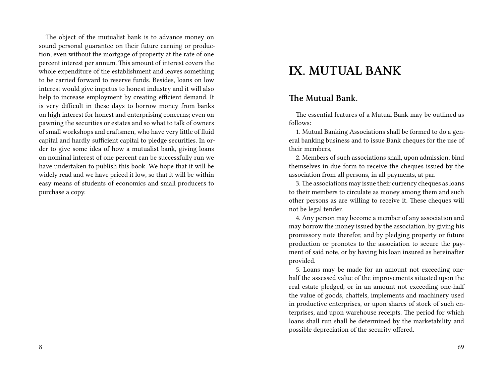The object of the mutualist bank is to advance money on sound personal guarantee on their future earning or production, even without the mortgage of property at the rate of one percent interest per annum. This amount of interest covers the whole expenditure of the establishment and leaves something to be carried forward to reserve funds. Besides, loans on low interest would give impetus to honest industry and it will also help to increase employment by creating efficient demand. It is very difficult in these days to borrow money from banks on high interest for honest and enterprising concerns; even on pawning the securities or estates and so what to talk of owners of small workshops and craftsmen, who have very little of fluid capital and hardly sufficient capital to pledge securities. In order to give some idea of how a mutualist bank, giving loans on nominal interest of one percent can be successfully run we have undertaken to publish this book. We hope that it will be widely read and we have priced it low, so that it will be within easy means of students of economics and small producers to purchase a copy.

## **IX. MUTUAL BANK**

### **The Mutual Bank.**

The essential features of a Mutual Bank may be outlined as follows:

1. Mutual Banking Associations shall be formed to do a general banking business and to issue Bank cheques for the use of their members,

2. Members of such associations shall, upon admission, bind themselves in due form to receive the cheques issued by the association from all persons, in all payments, at par.

3.The associations may issue their currency cheques as loans to their members to circulate as money among them and such other persons as are willing to receive it. These cheques will not be legal tender.

4. Any person may become a member of any association and may borrow the money issued by the association, by giving his promissory note therefor, and by pledging property or future production or pronotes to the association to secure the payment of said note, or by having his loan insured as hereinafter provided.

5. Loans may be made for an amount not exceeding onehalf the assessed value of the improvements situated upon the real estate pledged, or in an amount not exceeding one-half the value of goods, chattels, implements and machinery used in productive enterprises, or upon shares of stock of such enterprises, and upon warehouse receipts. The period for which loans shall run shall be determined by the marketability and possible depreciation of the security offered.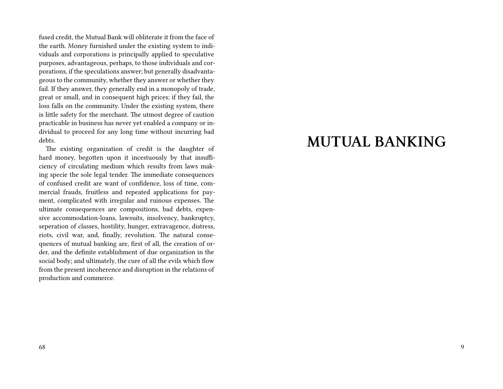fused credit, the Mutual Bank will obliterate it from the face of the earth. Money furnished under the existing system to individuals and corporations is principally applied to speculative purposes, advantageous, perhaps, to those individuals and corporations, if the speculations answer; but generally disadvantageous to the community, whether they answer or whether they fail. If they answer, they generally end in a monopoly of trade, great or small, and in consequent high prices; if they fail, the loss falls on the community. Under the existing system, there is little safety for the merchant. The utmost degree of caution practicable in business has never yet enabled a company or individual to proceed for any long time without incurring bad debts.

The existing organization of credit is the daughter of hard money, begotten upon it incestuously by that insufficiency of circulating medium which results from laws making specie the sole legal tender. The immediate consequences of confused credit are want of confidence, loss of time, commercial frauds, fruitless and repeated applications for payment, complicated with irregular and ruinous expenses. The ultimate consequences are compositions, bad debts, expensive accommodation-loans, lawsuits, insolvency, bankruptcy, seperation of classes, hostility, hunger, extravagence, distress, riots, civil war, and, finally, revolution. The natural consequences of mutual banking are, first of all, the creation of order, and the definite establishment of due organization in the social body; and ultimately, the cure of all the evils which flow from the present incoherence and disruption in the relations of production and commerce.

# **MUTUAL BANKING**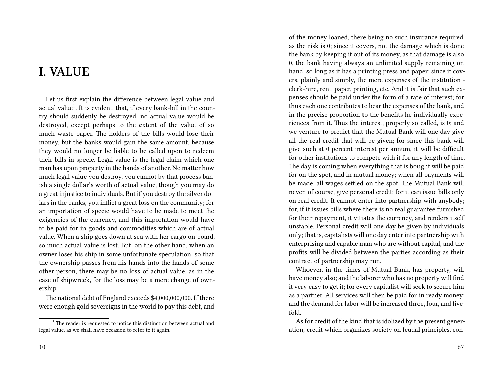## **I. VALUE**

Let us first explain the difference between legal value and actual value<sup>1</sup>. It is evident, that, if every bank-bill in the country should suddenly be destroyed, no actual value would be destroyed, except perhaps to the extent of the value of so much waste paper. The holders of the bills would lose their money, but the banks would gain the same amount, because they would no longer be liable to be called upon to redeem their bills in specie. Legal value is the legal claim which one man has upon property in the hands of another. No matter how much legal value you destroy, you cannot by that process banish a single dollar's worth of actual value, though you may do a great injustice to individuals. But if you destroy the silver dollars in the banks, you inflict a great loss on the community; for an importation of specie would have to be made to meet the exigencies of the currency, and this importation would have to be paid for in goods and commodities which are of actual value. When a ship goes down at sea with her cargo on board, so much actual value is lost. But, on the other hand, when an owner loses his ship in some unfortunate speculation, so that the ownership passes from his hands into the hands of some other person, there may be no loss of actual value, as in the case of shipwreck, for the loss may be a mere change of ownership.

The national debt of England exceeds \$4,000,000,000. If there were enough gold sovereigns in the world to pay this debt, and

of the money loaned, there being no such insurance required, as the risk is 0; since it covers, not the damage which is done the bank by keeping it out of its money, as that damage is also 0, the bank having always an unlimited supply remaining on hand, so long as it has a printing press and paper; since it covers, plainly and simply, the mere expenses of the institution clerk-hire, rent, paper, printing, etc. And it is fair that such expenses should be paid under the form of a rate of interest; for thus each one contributes to bear the expenses of the bank, and in the precise proportion to the benefits he individually experiences from it. Thus the interest, properly so called, is 0; and we venture to predict that the Mutual Bank will one day give all the real credit that will be given; for since this bank will give such at 0 percent interest per annum, it will be difficult for other institutions to compete with it for any length of time. The day is coming when everything that is bought will be paid for on the spot, and in mutual money; when all payments will be made, all wages settled on the spot. The Mutual Bank will never, of course, give personal credit; for it can issue bills only on real credit. It cannot enter into partnership with anybody; for, if it issues bills where there is no real guarantee furnished for their repayment, it vitiates the currency, and renders itself unstable. Personal credit will one day be given by individuals only; that is, capitalists will one day enter into partnership with enterprising and capable man who are without capital, and the profits will be divided between the parties according as their contract of partnership may run.

Whoever, in the times of Mutual Bank, has property, will have money also; and the laborer who has no property will find it very easy to get it; for every capitalist will seek to secure him as a partner. All services will then be paid for in ready money; and the demand for labor will be increased three, four, and fivefold.

As for credit of the kind that is idolized by the present generation, credit which organizes society on feudal principles, con-

 $1$ <sup>1</sup> The reader is requested to notice this distinction between actual and legal value, as we shall have occasion to refer to it again.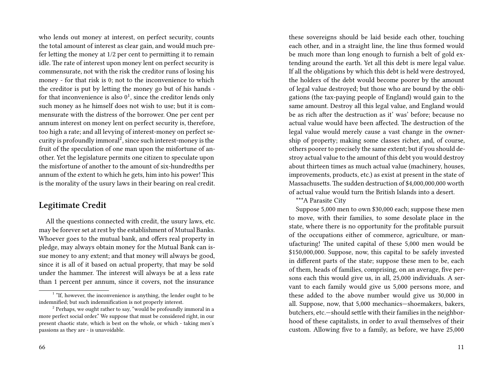who lends out money at interest, on perfect security, counts the total amount of interest as clear gain, and would much prefer letting the money at 1/2 per cent to permitting it to remain idle. The rate of interest upon money lent on perfect security is commensurate, not with the risk the creditor runs of losing his money - for that risk is 0; not to the inconvenience to which the creditor is put by letting the money go but of his hands for that inconvenience is also  $0<sup>1</sup>$ , since the creditor lends only such money as he himself does not wish to use; but it is commensurate with the distress of the borrower. One per cent per annum interest on money lent on perfect security is, therefore, too high a rate; and all levying of interest-money on perfect security is profoundly immoral<sup>2</sup>, since such interest-money is the fruit of the speculation of one man upon the misfortune of another. Yet the legislature permits one citizen to speculate upon the misfortune of another to the amount of six-hundredths per annum of the extent to which he gets, him into his power! This is the morality of the usury laws in their bearing on real credit.

#### **Legitimate Credit**

All the questions connected with credit, the usury laws, etc. may be forever set at rest by the establishment of Mutual Banks. Whoever goes to the mutual bank, and offers real property in pledge, may always obtain money for the Mutual Bank can issue money to any extent; and that money will always be good, since it is all of it based on actual property, that may be sold under the hammer. The interest will always be at a less rate than 1 percent per annum, since it covers, not the insurance

these sovereigns should be laid beside each other, touching each other, and in a straight line, the line thus formed would be much more than long enough to furnish a belt of gold extending around the earth. Yet all this debt is mere legal value. If all the obligations by which this debt is held were destroyed, the holders of the debt would become poorer by the amount of legal value destroyed; but those who are bound by the obligations (the tax-paying people of England) would gain to the same amount. Destroy all this legal value, and England would be as rich after the destruction as it' was' before; because no actual value would have been affected. The destruction of the legal value would merely cause a vast change in the ownership of property; making some classes richer, and, of course, others poorer to precisely the same extent; but if you should destroy actual value to the amount of this debt you would destroy about thirteen times as much actual value (machinery, houses, improvements, products, etc.) as exist at present in the state of Massachusetts. The sudden destruction of \$4,000,000,000 worth of actual value would turn the British Islands into a desert.

\*\*\*A Parasite City

Suppose 5,000 men to own \$30,000 each; suppose these men to move, with their families, to some desolate place in the state, where there is no opportunity for the profitable pursuit of the occupations either of commerce, agriculture, or manufacturing! The united capital of these 5,000 men would be \$150,000,000. Suppose, now, this capital to be safely invested in different parts of the state; suppose these men to be, each of them, heads of families, comprising, on an average, five persons each this would give us, in all, 25,000 individuals. A servant to each family would give us 5,000 persons more, and these added to the above number would give us 30,000 in all. Suppose, now, that 5,000 mechanics—shoemakers, bakers, butchers, etc.—should settle with their families in the neighborhood of these capitalists, in order to avail themselves of their custom. Allowing five to a family, as before, we have 25,000

 $1$  "If, however, the inconvenience is anything, the lender ought to be indemnified; but such indemnification is not properly interest.

 $2$  Perhaps, we ought rather to say, "would be profoundly immoral in a more perfect social order." We suppose that must be considered right, in our present chaotic state, which is best on the whole, or which - taking men's passions as they are - is unavoidable.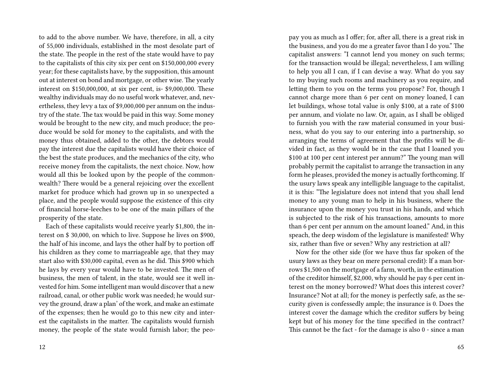to add to the above number. We have, therefore, in all, a city of 55,000 individuals, established in the most desolate part of the state. The people in the rest of the state would have to pay to the capitalists of this city six per cent on \$150,000,000 every year; for these capitalists have, by the supposition, this amount out at interest on bond and mortgage, or other wise. The yearly interest on \$150,000,000, at six per cent, is- \$9,000,000. These wealthy individuals may do no useful work whatever, and, nevertheless, they levy a tax of \$9,000,000 per annum on the industry of the state. The tax would be paid in this way. Some money would be brought to the new city, and much produce; the produce would be sold for money to the capitalists, and with the money thus obtained, added to the other, the debtors would pay the interest due the capitalists would have their choice of the best the state produces, and the mechanics of the city, who receive money from the capitalists, the next choice. Now, how would all this be looked upon by the people of the commonwealth? There would be a general rejoicing over the excellent market for produce which had grown up in so unexpected a place, and the people would suppose the existence of this city of financial horse-leeches to be one of the main pillars of the prosperity of the state.

Each of these capitalists would receive yearly \$1,800, the interest on \$ 30,000, on which to live. Suppose he lives on \$900, the half of his income, and lays the other half by to portion off his children as they come to marriageable age, that they may start also with \$30,000 capital, even as he did. This \$900 which he lays by every year would have to be invested. The men of business, the men of talent, in the state, would see it well invested for him. Some intelligent man would discover that a new railroad, canal, or other public work was needed; he would survey the ground, draw a plan' of the work, and make an estimate of the expenses; then he would go to this new city and interest the capitalists in the matter. The capitalists would furnish money, the people of the state would furnish labor; the peopay you as much as I offer; for, after all, there is a great risk in the business, and you do me a greater favor than I do you." The capitalist answers: "I cannot lend you money on such terms; for the transaction would be illegal; nevertheless, I am willing to help you all I can, if I can devise a way. What do you say to my buying such rooms and machinery as you require, and letting them to you on the terms you propose? For, though I cannot charge more than 6 per cent on money loaned, I can let buildings, whose total value is only \$100, at a rate of \$100 per annum, and violate no law. Or, again, as I shall be obliged to furnish you with the raw material consumed in your business, what do you say to our entering into a partnership, so arranging the terms of agreement that the profits will be divided in fact, as they would be in the case that I loaned you \$100 at 100 per cent interest per annum?" The young man will probably permit the capitalist to arrange the transaction in any form he pleases, provided the money is actually forthcoming. If the usury laws speak any intelligible language to the capitalist, it is this: "The legislature does not intend that you shall lend money to any young man to help in his business, where the insurance upon the money you trust in his hands, and which is subjected to the risk of his transactions, amounts to more than 6 per cent per annum on the amount loaned." And, in this speach, the deep wisdom of the legislature is manifested! Why six, rather than five or seven? Why any restriction at all?

Now for the other side (for we have thus far spoken of the usury laws as they bear on mere personal credit): lf a man borrows \$1,500 on the mortgage of a farm, worth, in the estimation of the creditor himself, \$2,000, why should he pay 6 per cent interest on the money borrowed? What does this interest cover? Insurance? Not at all; for the money is perfectly safe, as the security given is confessedly ample; the insurance is 0. Does the interest cover the damage which the creditor suffers by being kept but of his money for the time specified in the contract? This cannot be the fact - for the damage is also 0 - since a man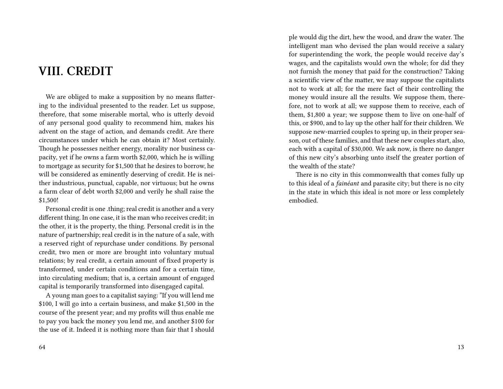### **VIII. CREDIT**

We are obliged to make a supposition by no means flattering to the individual presented to the reader. Let us suppose, therefore, that some miserable mortal, who is utterly devoid of any personal good quality to recommend him, makes his advent on the stage of action, and demands credit. Are there circumstances under which he can obtain it? Most certainly. Though he possesses neither energy, morality nor business capacity, yet if he owns a farm worth \$2,000, which he is willing to mortgage as security for \$1,500 that he desires to borrow, he will be considered as eminently deserving of credit. He is neither industrious, punctual, capable, nor virtuous; but he owns a farm clear of debt worth \$2,000 and verily he shall raise the \$1,500!

Personal credit is one .thing; real credit is another and a very different thing. In one case, it is the man who receives credit; in the other, it is the property, the thing. Personal credit is in the nature of partnership; real credit is in the nature of a sale, with a reserved right of repurchase under conditions. By personal credit, two men or more are brought into voluntary mutual relations; by real credit, a certain amount of fixed property is transformed, under certain conditions and for a certain time, into circulating medium; that is, a certain amount of engaged capital is temporarily transformed into disengaged capital.

A young man goes to a capitalist saying: "If you will lend me \$100, I will go into a certain business, and make \$1,500 in the course of the present year; and my profits will thus enable me to pay you back the money you lend me, and another \$100 for the use of it. Indeed it is nothing more than fair that I should ple would dig the dirt, hew the wood, and draw the water. The intelligent man who devised the plan would receive a salary for superintending the work, the people would receive day's wages, and the capitalists would own the whole; for did they not furnish the money that paid for the construction? Taking a scientific view of the matter, we may suppose the capitalists not to work at all; for the mere fact of their controlling the money would insure all the results. We suppose them, therefore, not to work at all; we suppose them to receive, each of them, \$1,800 a year; we suppose them to live on one-half of this, or \$900, and to lay up the other half for their children. We suppose new-married couples to spring up, in their proper season, out of these families, and that these new couples start, also, each with a capital of \$30,000. We ask now, is there no danger of this new city's absorbing unto itself the greater portion of the wealth of the state?

There is no city in this commonwealth that comes fully up to this ideal of a *fainéant* and parasite city; but there is no city in the state in which this ideal is not more or less completely embodied.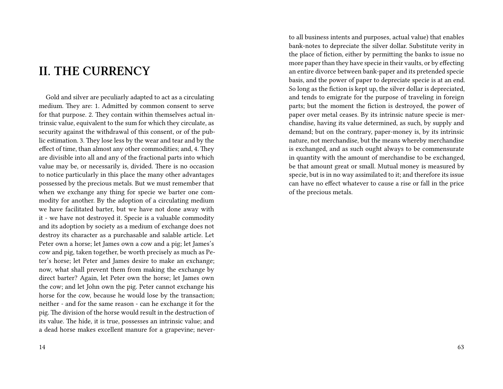## **II. THE CURRENCY**

Gold and silver are peculiarly adapted to act as a circulating medium. They are: 1. Admitted by common consent to serve for that purpose. 2. They contain within themselves actual intrinsic value, equivalent to the sum for which they circulate, as security against the withdrawal of this consent, or of the public estimation. 3. They lose less by the wear and tear and by the effect of time, than almost any other commodities; and, 4. They are divisible into all and any of the fractional parts into which value may be, or necessarily is, divided. There is no occasion to notice particularly in this place the many other advantages possessed by the precious metals. But we must remember that when we exchange any thing for specie we barter one commodity for another. By the adoption of a circulating medium we have facilitated barter, but we have not done away with it - we have not destroyed it. Specie is a valuable commodity and its adoption by society as a medium of exchange does not destroy its character as a purchasable and salable article. Let Peter own a horse; let James own a cow and a pig; let James's cow and pig, taken together, be worth precisely as much as Peter's horse; let Peter and James desire to make an exchange; now, what shall prevent them from making the exchange by direct barter? Again, let Peter own the horse; let James own the cow; and let John own the pig. Peter cannot exchange his horse for the cow, because he would lose by the transaction; neither - and for the same reason - can he exchange it for the pig. The division of the horse would result in the destruction of its value. The hide, it is true, possesses an intrinsic value; and a dead horse makes excellent manure for a grapevine; neverto all business intents and purposes, actual value) that enables bank-notes to depreciate the silver dollar. Substitute verity in the place of fiction, either by permitting the banks to issue no more paper than they have specie in their vaults, or by effecting an entire divorce between bank-paper and its pretended specie basis, and the power of paper to depreciate specie is at an end. So long as the fiction is kept up, the silver dollar is depreciated, and tends to emigrate for the purpose of traveling in foreign parts; but the moment the fiction is destroyed, the power of paper over metal ceases. By its intrinsic nature specie is merchandise, having its value determined, as such, by supply and demand; but on the contrary, paper-money is, by its intrinsic nature, not merchandise, but the means whereby merchandise is exchanged, and as such ought always to be commensurate in quantity with the amount of merchandise to be exchanged, be that amount great or small. Mutual money is measured by specie, but is in no way assimilated to it; and therefore its issue can have no effect whatever to cause a rise or fall in the price of the precious metals.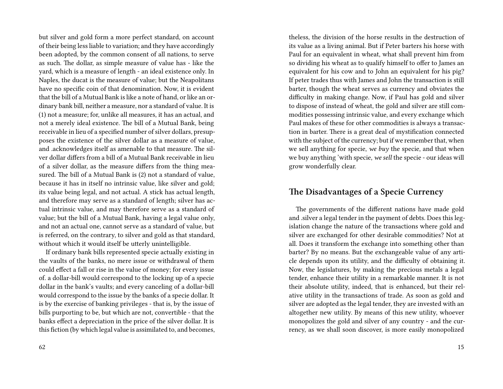but silver and gold form a more perfect standard, on account of their being less liable to variation; and they have accordingly been adopted, by the common consent of all nations, to serve as such. The dollar, as simple measure of value has - like the yard, which is a measure of length - an ideal existence only. In Naples, the ducat is the measure of value; but the Neapolitans have no specific coin of that denomination. Now, it is evident that the bill of a Mutual Bank is like a note of hand, or like an ordinary bank bill, neither a measure, nor a standard of value. It is (1) not a measure; for, unlike all measures, it has an actual, and not a merely ideal existence. The bill of a Mutual Bank, being receivable in lieu of a specified number of silver dollars, presupposes the existence of the silver dollar as a measure of value, and .acknowledges itself as amenable to that measure. The silver dollar differs from a bill of a Mutual Bank receivable in lieu of a silver dollar, as the measure differs from the thing measured. The bill of a Mutual Bank is (2) not a standard of value, because it has in itself no intrinsic value, like silver and gold; its value being legal, and not actual. A stick has actual length, and therefore may serve as a standard of length; silver has actual intrinsic value, and may therefore serve as a standard of value; but the bill of a Mutual Bank, having a legal value only, and not an actual one, cannot serve as a standard of value, but is referred, on the contrary, to silver and gold as that standard, without which it would itself be utterly unintelligible.

If ordinary bank bills represented specie actually existing in the vaults of the banks, no mere issue or withdrawal of them could effect a fall or rise in the value of money; for every issue of. a dollar-bill would correspond to the locking up of a specie dollar in the bank's vaults; and every canceling of a dollar-bill would correspond to the issue by the banks of a specie dollar. It is by the exercise of banking privileges - that is, by the issue of bills purporting to be, but which are not, convertible - that the banks effect a depreciation in the price of the silver dollar. It is this fiction (by which legal value is assimilated to, and becomes, theless, the division of the horse results in the destruction of its value as a living animal. But if Peter barters his horse with Paul for an equivalent in wheat, what shall prevent him from so dividing his wheat as to qualify himself to offer to James an equivalent for his cow and to John an equivalent for his pig? If peter trades thus with James and John the transaction is still barter, though the wheat serves as currency and obviates the difficulty in making change. Now, if Paul has gold and silver to dispose of instead of wheat, the gold and silver are still commodities possessing intrinsic value, and every exchange which Paul makes of these for other commodities is always a transaction in barter. There is a great deal of mystification connected with the subject of the currency; but if we remember that, when we sell anything for specie, *we buy* the specie, and that when we buy anything 'with specie, *we sell* the specie - our ideas will grow wonderfully clear.

### **The Disadvantages of a Specie Currency**

The governments of the different nations have made gold and .silver a legal tender in the payment of debts. Does this legislation change the nature of the transactions where gold and silver are exchanged for other desirable commodities? Not at all. Does it transform the exchange into something other than barter? By no means. But the exchangeable value of any article depends upon its utility, and the difficulty of obtaining it. Now, the legislatures, by making the precious metals a legal tender, enhance their utility in a remarkable manner. It is not their absolute utility, indeed, that is enhanced, but their relative utility in the transactions of trade. As soon as gold and silver are adopted as the legal tender, they are invested with an altogether new utility. By means of this new utility, whoever monopolizes the gold and silver of any country - and the currency, as we shall soon discover, is more easily monopolized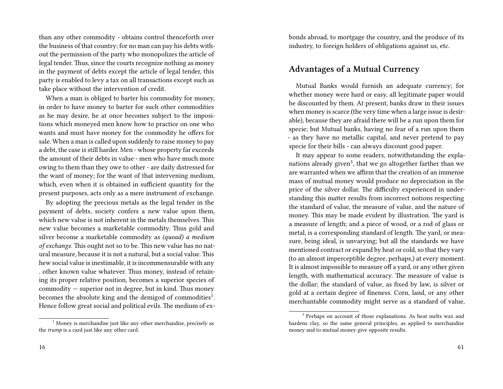than any other commodity - obtains control thenceforth over the business of that country; for no man can pay his debts without the permission of the party who monopolizes the article of legal tender. Thus, since the courts recognize nothing as money in the payment of debts except the article of legal tender, this party is enabled to levy a tax on all transactions except such as take place without the intervention of credit.

When a man is obliged to barter his commodity for money, in order to have money to barter for such other commodities as he may desire, he at once becomes subject to the impositions which moneyed men know how to practice on one who wants and must have money for the commodity he offers for sale. When a man is called upon suddenly to raise money to pay a debt, the case is still harder. Men - whose property far exceeds the amount of their debts in value - men who have much more owing to them than they owe to other - are daily distressed for the want of money; for the want of that intervening medium, which, even when it is obtained in sufficient quantity for the present purposes, acts only as a mere instrument of exchange.

By adopting the precious metals as the legal tender in the payment of debts, society confers a new value upon them, which new value is not inherent in the metals themselves. This new value becomes a marketable commodity. Thus gold and silver become a marketable commodity as *(quoad) a medium of exchange.* This ought not so to be. This new value has no natural measure, because it is not a natural, but a social value. This hew social value is inestimable, it is incommensurable with any . other known value whatever. Thus money, instead of retaining its proper relative position, becomes a superior species of commodity — superior not in degree, but in kind. Thus money becomes the absolute king and the demigod of commodities<sup>1</sup>. Hence follow great social and political evils. The medium of exbonds abroad, to mortgage the country, and the produce of its industry, to foreign holders of obligations against us, etc.

#### **Advantages of a Mutual Currency**

Mutual Banks would furnish an adequate currency; for whether money were hard or easy, all legitimate paper would be discounted by them. At present, banks draw in their issues when money is scarce (the very time when a large issue is desirable), because they are afraid there will be a run upon them for specie; but Mutual banks, having no fear of a run upon them - as they have no metallic capital, and never pretend to pay specie for their bills - can always discount good paper.

It may appear to some readers, notwithstanding the explanations already given $^3$ , that we go altogether farther than we are warranted when we affirm that the creation of an immense mass of mutual money would produce no depreciation in the price of the silver dollar. The difficulty experienced in understanding this matter results from incorrect notions respecting the standard of value, the measure of value, and the nature of money. This may be made evident by illustration. The yard is a measure of length; and a piece of wood, or a rod of glass or metal, is a corresponding standard of length. The yard, or measure, being ideal, is unvarying; but all the standards we have mentioned contract or expand by heat or cold, so that they vary (to an almost imperceptible degree, perhaps,) at every moment. It is almost impossible to measure off a yard, or any other given length, with mathematical accuracy. The measure of value is the dollar; the standard of value, as fixed by law, is silver or gold at a certain degree of fineness. Corn, land, or any other merchantable commodity might serve as a standard of value,

<sup>&</sup>lt;sup>1</sup> Money is merchandise just like any other merchandise, precisely as the *trump* is a card just like any other card.

<sup>&</sup>lt;sup>3</sup> Perhaps on account of those explanations. As heat melts wax and hardens clay, so the same general principles, as applied to merchandise money and to mutual money give opposite results.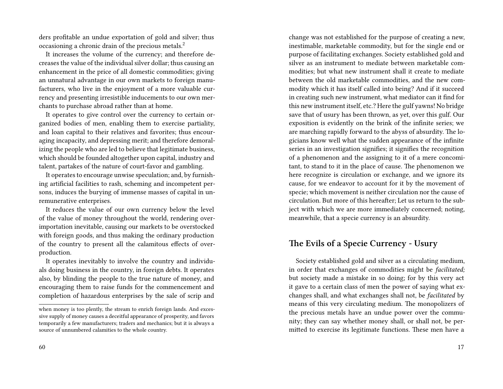ders profitable an undue exportation of gold and silver; thus occasioning a chronic drain of the precious metals.<sup>2</sup>

It increases the volume of the currency; and therefore decreases the value of the individual silver dollar; thus causing an enhancement in the price of all domestic commodities; giving an unnatural advantage in our own markets to foreign manufacturers, who live in the enjoyment of a more valuable currency and presenting irresistible inducements to our own merchants to purchase abroad rather than at home.

It operates to give control over the currency to certain organized bodies of men, enabling them to exercise partiality, and loan capital to their relatives and favorites; thus encouraging incapacity, and depressing merit; and therefore demoralizing the people who are led to believe that legitimate business, which should be founded altogether upon capital, industry and talent, partakes of the nature of court-favor and gambling.

It operates to encourage unwise speculation; and, by furnishing artificial facilities to rash, scheming and incompetent persons, induces the burying of immense masses of capital in unremunerative enterprises.

It reduces the value of our own currency below the level of the value of money throughout the world, rendering overimportation inevitable, causing our markets to be overstocked with foreign goods, and thus making the ordinary production of the country to present all the calamitous effects of overproduction.

It operates inevitably to involve the country and individuals doing business in the country, in foreign debts. It operates also, by blinding the people to the true nature of money, and encouraging them to raise funds for the commencement and completion of hazardous enterprises by the sale of scrip and

change was not established for the purpose of creating a new, inestimable, marketable commodity, but for the single end or purpose of facilitating exchanges. Society established gold and silver as an instrument to mediate between marketable commodities; but what new instrument shall it create to mediate between the old marketable commodities, and the new commodity which it has itself called into being? And if it succeed in creating such new instrument, what mediator can it find for this new instrument itself, etc.? Here the gulf yawns! No bridge save that of usury has been thrown, as yet, over this gulf. Our exposition is evidently on the brink of the infinite series; we are marching rapidly forward to the abyss of absurdity. The logicians know well what the sudden appearance of the infinite series in an investigation signifies; it signifies the recognition of a phenomenon and the assigning to it of a mere concomitant, to stand to it in the place of cause. The phenomenon we here recognize is circulation or exchange, and we ignore its cause, for we endeavor to account for it by the movement of specie; which movement is neither circulation nor the cause of circulation. But more of this hereafter; Let us return to the subject with which we are more immediately concerned; noting, meanwhile, that a specie currency is an absurdity.

### **The Evils of a Specie Currency - Usury**

Society established gold and silver as a circulating medium, in order that exchanges of commodities might be *facilitated;* but society made a mistake in so doing; for by this very act it gave to a certain class of men the power of saying what exchanges shall, and what exchanges shall not, be *facilitated* by means of this very circulating medium. The monopolizers of the precious metals have an undue power over the community; they can say whether money shall, or shall not, be permitted to exercise its legitimate functions. These men have a

when money is too plently, the stream to enrich foreign lands. And excessive supply of money causes a deceitful appearance of prosperity, and favors temporarily a few manufacturers; traders and mechanics; but it is always a source of unnumbered calamities to the whole country.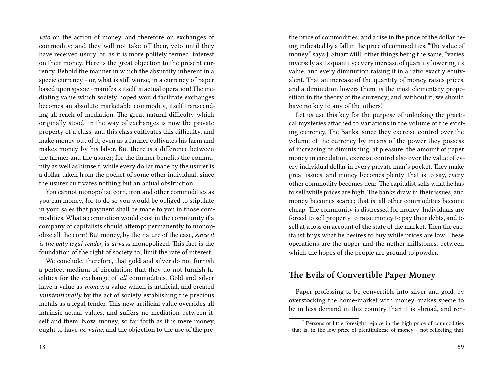*veto* on the action of money, and therefore on exchanges of commodity; and they will not take off their, veto until they have received usury, or, as it is more politely termed, interest on their money. Here is the great objection to the present currency. Behold the manner in which the absurdity inherent in a specie currency - or, what is still worse, in a currency of paper based upon specie - manifests itself in actual operation!The mediating value which society hoped would facilitate exchanges becomes an absolute marketable commodity, itself transcending all reach of mediation. The great natural difficulty which originally stood, in the way of exchanges is now the private property of a class, and this class cultivates this difficulty, and make money out of it, even as a farmer cultivates his farm and makes money by his labor. But there is a difference between the farmer and the usurer; for the farmer benefits the community as well as himself, while every dollar made by the usurer is a dollar taken from the pocket of some other individual, since the usurer cultivates nothing but an actual obstruction.

You cannot monopolize corn, iron and other commodities as you can money, for to do so you would be obliged to stipulate in your sales that payment shall be made to you in those commodities. What a commotion would exist in the community if a company of capitalists should attempt permanently to monopolize all the corn! But money, by the nature of the case, *since it is the only legal tender,* is *always* monopolized. This fact is the foundation of the right of society to; limit the rate of interest.

We conclude, therefore, that gold and silver do not furnish a perfect medium of circulation; that they do not furnish facilities for the exchange of *all* commodities. Gold and silver have a value as *money;* a value which is artificial, and created *unintentionally* by the act of society establishing the precious metals as a legal tender. This new artificial value overrides all intrinsic actual values, and suffers no mediation between itself and them. Now, money, so far forth as it is mere money, ought to have *no value;* and the objection to the use of the prethe price of commodities, and a rise in the price of the dollar being indicated by a fall in the price of commodities. "The value of money," says J. Stuart Mill, other things being the same, "varies inversely as its quantity; every increase of quantity lowering its value, and every diminution raising it in a ratio exactly equivalent. That an increase of the quantity of money raises prices, and a diminution lowers them, is the most elementary proposition in the theory of the currency; and, without it, we should have no key to any of the others."

Let us use this key for the purpose of unlocking the practical mysteries attached to variations in the volume of the existing currency. The Banks, since they exercise control over the volume of the currency by means of the power they possess of increasing or diminishing, at pleasure, the amount of paper money in circulation, exercise control also over the value of every individual dollar in every private man's pocket. They make great issues, and money becomes plenty; that is to say, every other commodity becomes dear. The capitalist sells what he has to sell while prices are high. The banks draw in their issues, and money becomes scarce; that is, all other commodities become cheap. The community is distressed for money. Individuals are forced to sell property to raise money to pay their debts, and to sell at a loss on account of the state of the market. Then the capitalist buys what he desires to buy while prices are low. These operations are the upper and the nether millstones, between which the hopes of the people are ground to powder.

### **The Evils of Convertible Paper Money**

Paper professing to be convertible into silver and gold, by overstocking the home-market with money, makes specie to be in less demand in this country than it is abroad, and ren-

<sup>&</sup>lt;sup>2</sup> Persons of little foresight rejoice in the high price of commodities - that is, in the low price of plentifulnese of money - not reflecting that,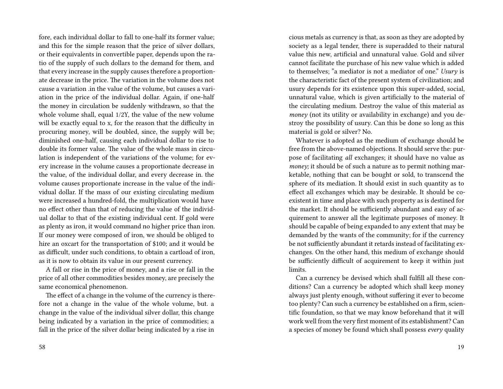fore, each individual dollar to fall to one-half its former value; and this for the simple reason that the price of silver dollars, or their equivalents in convertible paper, depends upon the ratio of the supply of such dollars to the demand for them, and that every increase in the supply causes therefore a proportionate decrease in the price. The variation in the volume does not cause a variation .in the value of the volume, but causes a variation in the price of the individual dollar. Again, if one-half the money in circulation be suddenly withdrawn, so that the whole volume shall, equal 1/2Y, the value of the new volume will be exactly equal to x, for the reason that the difficulty in procuring money, will be doubled, since, the supply will be; diminished one-half, causing each individual dollar to rise to double its former value. The value of the whole mass in circulation is independent of the variations of the volume; for every increase in the volume causes a proportionate decrease in the value, of the individual dollar, and every decrease in. the volume causes proportionate increase in the value of the individual dollar. If the mass of our existing circulating medium were increased a hundred-fold, the multiplication would have no effect other than that of reducing the value of the individual dollar to that of the existing individual cent. If gold were as plenty as iron, it would command no higher price than iron. If our money were composed of iron, we should be obliged to hire an oxcart for the transportation of \$100; and it would be as difficult, under such conditions, to obtain a cartload of iron, as it is now to obtain its value in our present currency.

A fall or rise in the price of money, and a rise or fall in the price of all other commodities besides money, are precisely the same economical phenomenon.

The effect of a change in the volume of the currency is therefore not a change in the value of the whole volume, but. a change in the value of the individual silver dollar, this change being indicated by a variation in the price of commodities; a fall in the price of the silver dollar being indicated by a rise in

cious metals as currency is that, as soon as they are adopted by society as a legal tender, there is superadded to their natural value this new, artificial and unnatural value. Gold and silver cannot facilitate the purchase of his new value which is added to themselves; "a mediator is not a mediator of one." *Usury* is the characteristic fact of the present system of civilization; and usury depends for its existence upon this super-added, social, unnatural value, which is given artificially to the material of the circulating medium. Destroy the value of this material as *money* (not its utility or availability in exchange) and you destroy the possibility of usury. Can this be done so long as this material is gold or silver? No.

Whatever is adopted as the medium of exchange should be free from the above-named objections. It should serve the: purpose of facilitating *all* exchanges; it should have no value as *money*; it should be of such a nature as to permit nothing marketable, nothing that can be bought or sold, to transcend the sphere of its mediation. It should exist in such quantity as to effect all exchanges which may be desirable. It should be coexistent in time and place with such property as is destined for the market. It should be sufficiently abundant and easy of acquirement to answer all the legitimate purposes of money. It should be capable of being expanded to any extent that may be demanded by the wants of the community; for if the currency be not sufficiently abundant it retards instead of facilitating exchanges. On the other hand, this medium of exchange should be sufficiently difficult of acquirement to keep it within just limits.

Can a currency be devised which shall fulfill all these conditions? Can a currency be adopted which shall keep money always just plenty enough, without suffering it ever to become too plenty? Can such a currency be established on a firm, scientific foundation, so that we may know beforehand that it will work well from the very first moment of its establishment? Can a species of money be found which shall possess *every* quality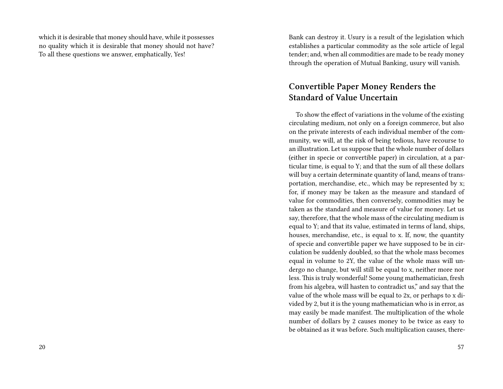which it is desirable that money should have, while it possesses no quality which it is desirable that money should not have? To all these questions we answer, emphatically, Yes!

Bank can destroy it. Usury is a result of the legislation which establishes a particular commodity as the sole article of legal tender; and, when all commodities are made to be ready money through the operation of Mutual Banking, usury will vanish.

### **Convertible Paper Money Renders the Standard of Value Uncertain**

To show the effect of variations in the volume of the existing circulating medium, not only on a foreign commerce, but also on the private interests of each individual member of the community, we will, at the risk of being tedious, have recourse to an illustration. Let us suppose that the whole number of dollars (either in specie or convertible paper) in circulation, at a particular time, is equal to Y; and that the sum of all these dollars will buy a certain determinate quantity of land, means of transportation, merchandise, etc., which may be represented by x; for, if money may be taken as the measure and standard of value for commodities, then conversely, commodities may be taken as the standard and measure of value for money. Let us say, therefore, that the whole mass of the circulating medium is equal to Y; and that its value, estimated in terms of land, ships, houses, merchandise, etc., is equal to x. If, now, the quantity of specie and convertible paper we have supposed to be in circulation be suddenly doubled, so that the whole mass becomes equal in volume to 2Y, the value of the whole mass will undergo no change, but will still be equal to x, neither more nor less. This is truly wonderful! Some young mathematician, fresh from his algebra, will hasten to contradict us," and say that the value of the whole mass will be equal to 2x, or perhaps to x divided by 2, but it is the young mathematician who is in error, as may easily be made manifest. The multiplication of the whole number of dollars by 2 causes money to be twice as easy to be obtained as it was before. Such multiplication causes, there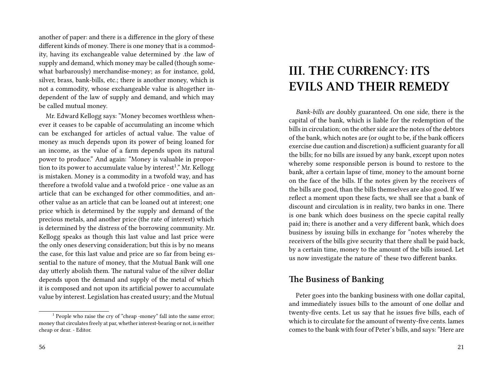another of paper: and there is a difference in the glory of these different kinds of money. There is one money that is a commodity, having its exchangeable value determined by .the law of supply and demand, which money may be called (though somewhat barbarously) merchandise-money; as for instance, gold, silver, brass, bank-bills, etc.; there is another money, which is not a commodity, whose exchangeable value is altogether independent of the law of supply and demand, and which may be called mutual money.

Mr. Edward Kellogg says: "Money becomes worthless whenever it ceases to be capable of accumulating an income which can be exchanged for articles of actual value. The value of money as much depends upon its power of being loaned for an income, as the value of a farm depends upon its natural power to produce." And again: "Money is valuable in proportion to its power to accumulate value by interest $^{1}$ ." Mr. Kellogg is mistaken. Money is a commodity in a twofold way, and has therefore a twofold value and a twofold price - one value as an article that can be exchanged for other commodities, and another value as an article that can be loaned out at interest; one price which is determined by the supply and demand of the precious metals, and another price (the rate of interest) which is determined by the distress of the borrowing community. Mr. Kellogg speaks as though this last value and last price were the only ones deserving consideration; but this is by no means the case, for this last value and price are so far from being essential to the nature of money, that the Mutual Bank will one day utterly abolish them. The natural value of the silver dollar depends upon the demand and supply of the metal of which it is composed and not upon its artificial power to accumulate value by interest. Legislation has created usury; and the Mutual

## **III. THE CURRENCY: ITS EVILS AND THEIR REMEDY**

*Bank-bills are* doubly guaranteed. On one side, there is the capital of the bank, which is liable for the redemption of the bills in circulation; on the other side are the notes of the debtors of the bank, which notes are (or ought to be, if the bank officers exercise due caution and discretion) a sufficient guaranty for all the bills; for no bills are issued by any bank, except upon notes whereby some responsible person is bound to restore to the bank, after a certain lapse of time, money to the amount borne on the face of the bills. If the notes given by the receivers of the bills are good, than the bills themselves are also good. If we reflect a moment upon these facts, we shall see that a bank of discount and circulation is in reality, two banks in one. There is one bank which does business on the specie capital really paid in; there is another and a very different bank, which does business by issuing bills in exchange for "notes whereby the receivers of the bills give security that there shall be paid back, by a certain time, money to the amount of the bills issued. Let us now investigate the nature of' these two different banks.

### **The Business of Banking**

Peter goes into the banking business with one dollar capital, and immediately issues bills to the amount of one dollar and twenty-five cents. Let us say that he issues five bills, each of which is to circulate for the amount of twenty-five cents. lames comes to the bank with four of Peter's bills, and says: "Here are

<sup>&</sup>lt;sup>1</sup> People who raise the cry of "cheap -money" fall into the same error; money that circulates freely at par, whether interest-bearing or not, is neither cheap or dear. - Editor.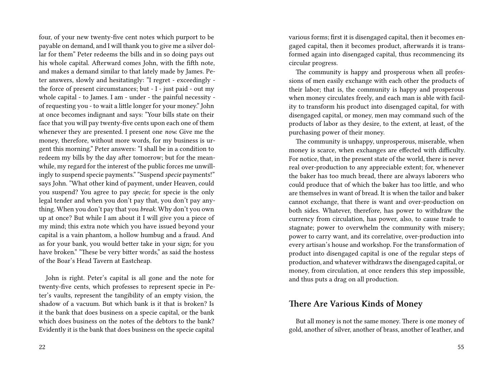four, of your new twenty-five cent notes which purport to be payable on demand, and I will thank you to give me a silver dollar for them" Peter redeems the bills and in so doing pays out his whole capital. Afterward comes John, with the fifth note, and makes a demand similar to that lately made by James. Peter answers, slowly and hesitatingly: "I regret - exceedingly the force of present circumstances; but - I - just paid - out my whole capital - to James. I am - under - the painful necessity of requesting you - to wait a little longer for your money." John at once becomes indignant and says: "Your bills state on their face that you will pay twenty-five cents upon each one of them whenever they are presented. I present one *now.* Give me the money, therefore, without more words, for my business is urgent this morning." Peter answers: "I shall be in a condition to redeem my bills by the day after tomorrow; but for the meanwhile, my regard for the interest of the public forces me unwillingly to suspend specie payments." "Suspend *specie* payments!" says John. "What other kind of payment, under Heaven, could you suspend? You agree to pay *specie;* for specie is the only legal tender and when you don't pay that, you don't pay anything. When you don't pay that you *break.* Why don't you own up at once? But while I am about it I will give you a piece of my mind; this extra note which you have issued beyond your capital is a vain phantom, a hollow humbug and a fraud. And as for your bank, you would better take in your sign; for you have broken." "These be very bitter words," as said the hostess of the Boar's Head Tavern at Eastcheap.

John is right. Peter's capital is all gone and the note for twenty-five cents, which professes to represent specie in Peter's vaults, represent the tangibility of an empty vision, the shadow of a vacuum. But which bank is it that is broken? Is it the bank that does business on a specie capital, or the bank which does business on the notes of the debtors to the bank? Evidently it is the bank that does business on the specie capital

various forms; first it is disengaged capital, then it becomes engaged capital, then it becomes product, afterwards it is transformed again into disengaged capital, thus recommencing its circular progress.

The community is happy and prosperous when all professions of men easily exchange with each other the products of their labor; that is, the community is happy and prosperous when money circulates freely, and each man is able with facility to transform his product into disengaged capital, for with disengaged capital, or money, men may command such of the products of labor as they desire, to the extent, at least, of the purchasing power of their money.

The community is unhappy, unprosperous, miserable, when money is scarce, when exchanges are effected with difficulty. For notice, that, in the present state of the world, there is never real over-production to any appreciable extent; for, whenever the baker has too much bread, there are always laborers who could produce that of which the baker has too little, and who are themselves in want of bread. It is when the tailor and baker cannot exchange, that there is want and over-production on both sides. Whatever, therefore, has power to withdraw the currency from circulation, has power, also, to cause trade to stagnate; power to overwhelm the community with misery; power to carry want, and its correlative, over-production into every artisan's house and workshop. For the transformation of product into disengaged capital is one of the regular steps of production, and whatever withdraws the disengaged capital, or money, from circulation, at once renders this step impossible, and thus puts a drag on all production.

#### **There Are Various Kinds of Money**

But all money is not the same money. There is one money of gold, another of silver, another of brass, another of leather, and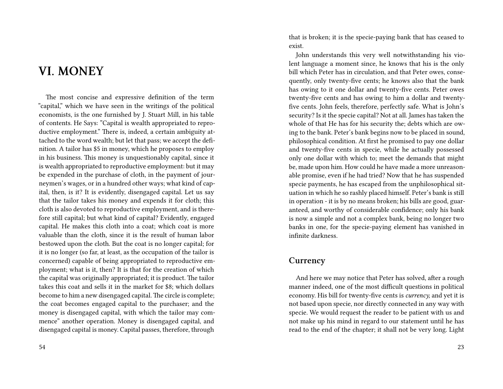### **VI. MONEY**

The most concise and expressive definition of the term "capital," which we have seen in the writings of the political economists, is the one furnished by J. Stuart Mill, in his table of contents. He Says: "Capital is wealth appropriated to reproductive employment." There is, indeed, a certain ambiguity attached to the word wealth; but let that pass; we accept the definition. A tailor has \$5 in money, which he proposes to employ in his business. This money is unquestionably capital, since it is wealth appropriated to reproductive employment: but it may be expended in the purchase of cloth, in the payment of journeymen's wages, or in a hundred other ways; what kind of capital, then, is it? It is evidently, disengaged capital. Let us say that the tailor takes his money and expends it for cloth; this cloth is also devoted to reproductive employment, and is therefore still capital; but what kind of capital? Evidently, engaged capital. He makes this cloth into a coat; which coat is more valuable than the cloth, since it is the result of human labor bestowed upon the cloth. But the coat is no longer capital; for it is no longer (so far, at least, as the occupation of the tailor is concerned) capable of being appropriated to reproductive employment; what is it, then? It is that for the creation of which the capital was originally appropriated; it is product. The tailor takes this coat and sells it in the market for \$8; which dollars become to him a new disengaged capital. The circle is complete; the coat becomes engaged capital to the purchaser; and the money is disengaged capital, with which the tailor may commence" another operation. Money is disengaged capital, and disengaged capital is money. Capital passes, therefore, through

that is broken; it is the specie-paying bank that has ceased to exist.

John understands this very well notwithstanding his violent language a moment since, he knows that his is the only bill which Peter has in circulation, and that Peter owes, consequently, only twenty-five cents; he knows also that the bank has owing to it one dollar and twenty-five cents. Peter owes twenty-five cents and has owing to him a dollar and twentyfive cents. John feels, therefore, perfectly safe. What is John's security? Is it the specie capital? Not at all. James has taken the whole of that He has for his security the; debts which are owing to the bank. Peter's bank begins now to be placed in sound, philosophical condition. At first he promised to pay one dollar and twenty-five cents in specie, while he actually possessed only one dollar with which to; meet the demands that might be, made upon him. How could he have made a more unreasonable promise, even if he had tried? Now that he has suspended specie payments, he has escaped from the unphilosophical situation in which he so rashly placed himself. Peter's bank is still in operation - it is by no means broken; his bills are good, guaranteed, and worthy of considerable confidence; only his bank is now a simple and not a complex bank, being no longer two banks in one, for the specie-paying element has vanished in infinite darkness.

#### **Currency**

And here we may notice that Peter has solved, after a rough manner indeed, one of the most difficult questions in political economy. His bill for twenty-five cents is *currency,* and yet it is not based upon specie, nor directly connected in any way with specie. We would request the reader to be patient with us and not make up his mind in regard to our statement until he has read to the end of the chapter; it shall not be very long. Light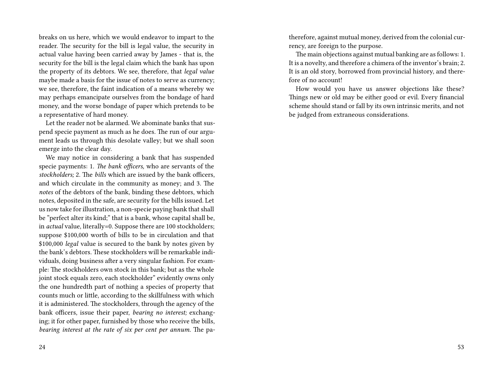breaks on us here, which we would endeavor to impart to the reader. The security for the bill is legal value, the security in actual value having been carried away by James - that is, the security for the bill is the legal claim which the bank has upon the property of its debtors. We see, therefore, that *legal value* maybe made a basis for the issue of notes to serve as currency; we see, therefore, the faint indication of a means whereby we may perhaps emancipate ourselves from the bondage of hard money, and the worse bondage of paper which pretends to be a representative of hard money.

Let the reader not be alarmed. We abominate banks that suspend specie payment as much as he does. The run of our argument leads us through this desolate valley; but we shall soon emerge into the clear day.

We may notice in considering a bank that has suspended specie payments: 1. *The bank officers,* who are servants of the *stockholders;* 2. The *bills* which are issued by the bank officers, and which circulate in the community as money; and 3. The *notes* of the debtors of the bank, binding these debtors, which notes, deposited in the safe, are security for the bills issued. Let us now take for illustration, a non-specie paying bank that shall be "perfect alter its kind;" that is a bank, whose capital shall be, in *actual* value, literally=0. Suppose there are 100 stockholders; suppose \$100,000 worth of bills to be in circulation and that \$100,000 *legal* value is secured to the bank by notes given by the bank's debtors. These stockholders will be remarkable individuals, doing business after a very singular fashion. For example: The stockholders own stock in this bank; but as the whole joint stock equals zero, each stockholder" evidently owns only the one hundredth part of nothing a species of property that counts much or little, according to the skillfulness with which it is administered. The stockholders, through the agency of the bank officers, issue their paper, *bearing no interest;* exchanging; it for other paper, furnished by those who receive the bills, *bearing interest at the rate of six per cent per annum.* The patherefore, against mutual money, derived from the colonial currency, are foreign to the purpose.

The main objections against mutual banking are as follows: 1. It is a novelty, and therefore a chimera of the inventor's brain; 2. It is an old story, borrowed from provincial history, and therefore of no account!

How would you have us answer objections like these? Things new or old may be either good or evil. Every financial scheme should stand or fall by its own intrinsic merits, and not be judged from extraneous considerations.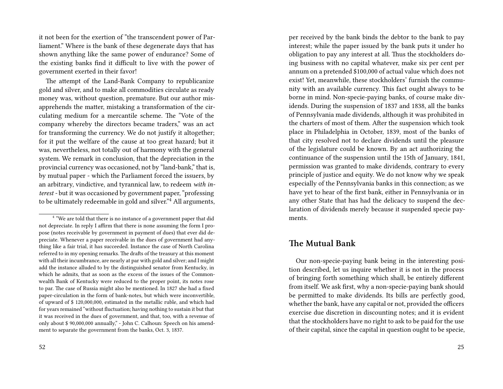it not been for the exertion of "the transcendent power of Parliament." Where is the bank of these degenerate days that has shown anything like the same power of endurance? Some of the existing banks find it difficult to live with the power of government exerted in their favor!

The attempt of the Land-Bank Company to republicanize gold and silver, and to make all commodities circulate as ready money was, without question, premature. But our author misapprehends the matter, mistaking a transformation of the circulating medium for a mercantile scheme. The "Vote of the company whereby the directors became traders," was an act for transforming the currency. We do not justify it altogether; for it put the welfare of the cause at too great hazard; but it was, nevertheless, not totally out of harmony with the general system. We remark in conclusion, that the depreciation in the provincial currency was occasioned, not by "land-bank," that is, by mutual paper - which the Parliament forced the issuers, by an arbitrary, vindictive, and tyrannical law, to redeem *with interest -* but it was occasioned by government paper, "professing to be ultimately redeemable in gold and silver."<sup>4</sup> All arguments,

per received by the bank binds the debtor to the bank to pay interest; while the paper issued by the bank puts it under ho obligation to pay any interest at all. Thus the stockholders doing business with no capital whatever, make six per cent per annum on a pretended \$100,000 of actual value which does not exist! Yet, meanwhile, these stockholders' furnish the community with an available currency. This fact ought always to be borne in mind. Non-specie-paying banks, of course make dividends. During the suspension of 1837 and 1838, all the banks of Pennsylvania made dividends, although it was prohibited in the charters of most of them. After the suspension which took place in Philadelphia in October, 1839, most of the banks of that city resolved not to declare dividends until the pleasure of the legislature could be known. By an act authorizing the continuance of the suspension until the 15th of January, 1841, permission was granted to make dividends, contrary to every principle of justice and equity. We do not know why we speak especially of the Pennsylvania banks in this connection; as we have yet to hear of the first bank, either in Pennsylvania or in any other State that has had the delicacy to suspend the declaration of dividends merely because it suspended specie payments.

### **The Mutual Bank**

Our non-specie-paying bank being in the interesting position described, let us inquire whether it is not in the process of bringing forth something which shall, be entirely different from itself. We ask first, why a non-specie-paying bank should be permitted to make dividends. Its bills are perfectly good, whether the bank, have any capital or not, provided the officers exercise due discretion in discounting notes; and it is evident that the stockholders have no right to ask to be paid for the use of their capital, since the capital in question ought to be specie,

<sup>&</sup>lt;sup>4</sup> "We are told that there is no instance of a government paper that did not depreciate. In reply I affirm that there is none assuming the form I propose (notes receivable by government in payment of dues) that ever did depreciate. Whenever a paper receivable in the dues of government had anything like a fair trial, it has succeeded. Instance the case of North Carolina referred to in my opening remarks. The drafts of the treasury at this moment with all their incumbrance, are nearly at par with gold and silver; and I might add the instance alluded to by the distinguished senator from Kentucky, in which he admits, that as soon as the excess of the issues of the Commonwealth Bank of Kentucky were reduced to the proper point, its notes rose to par. The case of Russia might also be mentioned. In 1827 she had a fixed paper-circulation in the form of bank-notes, but which were inconvertible, of upward of \$ 120,000,000, estimated in the metallic ruble, and which had for years remained "without fluctuation; having nothing to sustain it but that it was received in the dues of government, and that, too, with a revenue of only about \$ 90,000,000 annually," - John C. Calhoun: Speech on his amendment to separate the government from the banks, Oct. 3, 1837.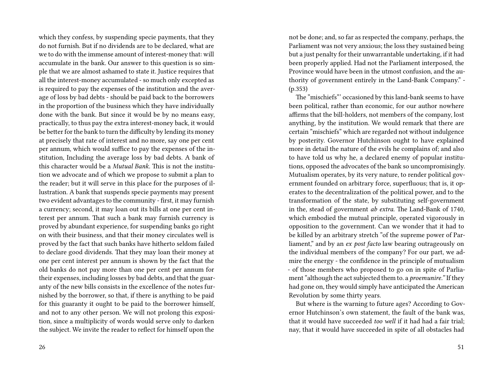which they confess, by suspending specie payments, that they do not furnish. But if no dividends are to be declared, what are we to do with the immense amount of interest-money that: will accumulate in the bank. Our answer to this question is so simple that we are almost ashamed to state it. Justice requires that all the interest-money accumulated - so much only excepted as is required to pay the expenses of the institution and the average of loss by bad debts - should be paid back to the borrowers in the proportion of the business which they have individually done with the bank. But since it would be by no means easy, practically, to thus pay the extra interest-money back, it would be better for the bank to turn the difficulty by lending its money at precisely that rate of interest and no more, say one per cent per annum, which would suffice to pay the expenses of the institution, Including the average loss by bad debts. A bank of this character would be a *Mutual Bank.* This is not the institution we advocate and of which we propose to submit a plan to the reader; but it will serve in this place for the purposes of illustration. A bank that suspends specie payments may present two evident advantages to the community - first, it may furnish a currency; second, it may loan out its bills at one per cent interest per annum. That such a bank may furnish currency is proved by abundant experience, for suspending banks go right on with their business, and that their money circulates well is proved by the fact that such banks have hitherto seldom failed to declare good dividends. That they may loan their money at one per cent interest per annum is shown by the fact that the old banks do not pay more than one per cent per annum for their expenses, including losses by bad debts, and that the guaranty of the new bills consists in the excellence of the notes furnished by the borrower, so that, if there is anything to be paid for this guaranty it ought to be paid to the borrower himself, and not to any other person. We will not prolong this exposition, since a multiplicity of words would serve only to darken the subject. We invite the reader to reflect for himself upon the

not be done; and, so far as respected the company, perhaps, the Parliament was not very anxious; the loss they sustained being but a just penalty for their unwarrantable undertaking, if it had been properly applied. Had not the Parliament interposed, the Province would have been in the utmost confusion, and the authority of government entirely in the Land-Bank Company." - (p.353)

The "mischiefs"' occasioned by this land-bank seems to have been political, rather than economic, for our author nowhere affirms that the bill-holders, not members of the company, lost anything, by the institution. We would remark that there are certain "mischiefs" which are regarded not without indulgence by posterity. Governor Hutchinson ought to have explained more in detail the nature of the evils he complains of; and also to have told us why he, a declared enemy of popular institutions, opposed the advocates of the bank so uncompromisingly. Mutualism operates, by its very nature, to render political government founded on arbitrary force, superfluous; that is, it operates to the decentralization of the political power, and to the transformation of the state, by substituting self-government in the, stead of government *ab extra.* The Land-Bank of 1740, which embodied the mutual principle, operated vigorously in opposition to the government. Can we wonder that it had to be killed by an arbitrary stretch "of the supreme power of Parliament," and by an *ex post facto* law bearing outrageously on the individual members of the company? For our part, we admire the energy - the confidence in the principle of mutualism - of those members who proposed to go on in spite of Parliament "although the act subjected them to. a *proemunire."* If they had gone on, they would simply have anticipated the American Revolution by some thirty years.

But where is the warning to future ages? According to Governor Hutchinson's own statement, the fault of the bank was, that it would have succeeded *too well* if it had had a fair trial; nay, that it would have succeeded in spite of all obstacles had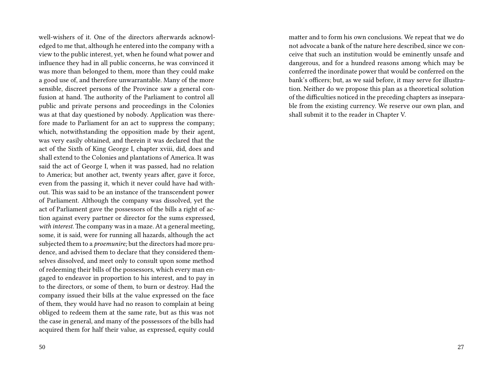well-wishers of it. One of the directors afterwards acknowledged to me that, although he entered into the company with a view to the public interest, yet, when he found what power and influence they had in all public concerns, he was convinced it was more than belonged to them, more than they could make a good use of, and therefore unwarrantable. Many of the more sensible, discreet persons of the Province saw a general confusion at hand. The authority of the Parliament to control all public and private persons and proceedings in the Colonies was at that day questioned by nobody. Application was therefore made to Parliament for an act to suppress the company; which, notwithstanding the opposition made by their agent, was very easily obtained, and therein it was declared that the act of the Sixth of King George I, chapter xviii, did, does and shall extend to the Colonies and plantations of America. It was said the act of George I, when it was passed, had no relation to America; but another act, twenty years after, gave it force, even from the passing it, which it never could have had without. This was said to be an instance of the transcendent power of Parliament. Although the company was dissolved, yet the act of Parliament gave the possessors of the bills a right of action against every partner or director for the sums expressed, *with interest.* The company was in a maze. At a general meeting, some, it is said, were for running all hazards, although the act subjected them to a *proemunire;* but the directors had more prudence, and advised them to declare that they considered themselves dissolved, and meet only to consult upon some method of redeeming their bills of the possessors, which every man engaged to endeavor in proportion to his interest, and to pay in to the directors, or some of them, to burn or destroy. Had the company issued their bills at the value expressed on the face of them, they would have had no reason to complain at being obliged to redeem them at the same rate, but as this was not the case in general, and many of the possessors of the bills had acquired them for half their value, as expressed, equity could

matter and to form his own conclusions. We repeat that we do not advocate a bank of the nature here described, since we conceive that such an institution would be eminently unsafe and dangerous, and for a hundred reasons among which may be conferred the inordinate power that would be conferred on the bank's officers; but, as we said before, it may serve for illustration. Neither do we propose this plan as a theoretical solution of the difficulties noticed in the preceding chapters as inseparable from the existing currency. We reserve our own plan, and shall submit it to the reader in Chapter V.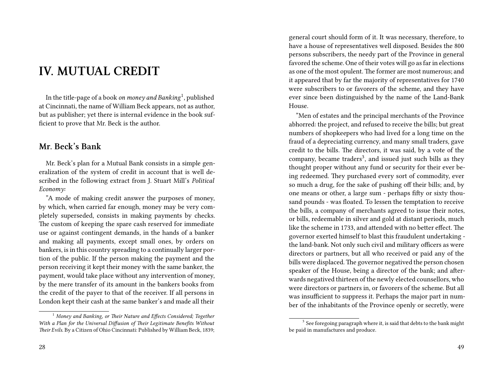# **IV. MUTUAL CREDIT**

In the title-page of a book *on money and Banking*<sup>1</sup> , published at Cincinnati, the name of William Beck appears, not as author, but as publisher; yet there is internal evidence in the book sufficient to prove that Mr. Beck is the author.

### **Mr. Beck's Bank**

Mr. Beck's plan for a Mutual Bank consists in a simple generalization of the system of credit in account that is well described in the following extract from J. Stuart Mill's *Political Economy:*

"A mode of making credit answer the purposes of money, by which, when carried far enough, money may be very completely superseded, consists in making payments by checks. The custom of keeping the spare cash reserved for immediate use or against contingent demands, in the hands of a banker and making all payments, except small ones, by orders on bankers, is in this country spreading to a continually larger portion of the public. If the person making the payment and the person receiving it kept their money with the same banker, the payment, would take place without any intervention of money, by the mere transfer of its amount in the bankers books from the credit of the payer to that of the receiver. If all persons in London kept their cash at the same banker's and made all their

general court should form of it. It was necessary, therefore, to have a house of representatives well disposed. Besides the 800 persons subscribers, the needy part of the Province in general favored the scheme. One of their votes will go as far in elections as one of the most opulent. The former are most numerous; and it appeared that by far the majority of representatives for 1740 were subscribers to or favorers of the scheme, and they have ever since been distinguished by the name of the Land-Bank House.

"Men of estates and the principal merchants of the Province abhorred: the project, and refused to receive the bills; but great numbers of shopkeepers who had lived for a long time on the fraud of a depreciating currency, and many small traders, gave credit to the bills. The directors, it was said, by a vote of the company, became traders<sup>3</sup>, and issued just such bills as they thought proper without any fund or security for their ever being redeemed. They purchased every sort of commodity, ever so much a drug, for the sake of pushing off their bills; and, by one means or other, a large sum - perhaps fifty or sixty thousand pounds - was floated. To lessen the temptation to receive the bills, a company of merchants agreed to issue their notes, or bills, redeemable in silver and gold at distant periods, much like the scheme in 1733, and attended with no better effect. The governor exerted himself to blast this fraudulent undertaking the land-bank. Not only such civil and military officers as were directors or partners, but all who received or paid any of the bills were displaced. The governor negatived the person chosen speaker of the House, being a director of the bank; and afterwards negatived thirteen of the newly elected counsellors, who were directors or partners in, or favorers of the scheme. But all was insufficient to suppress it. Perhaps the major part in number of the inhabitants of the Province openly or secretly, were

<sup>1</sup> *Money and Banking, or Their Nature and Effects Considered; Together With a Plan for the Universal Diffusion of Their Legitimate Benefits Without Their Evils.* By a Citizen of Ohio Cincinnati: Published by William Beck, 1839;

 $3$  See foregoing paragraph where it, is said that debts to the bank might be paid in manufactures and produce.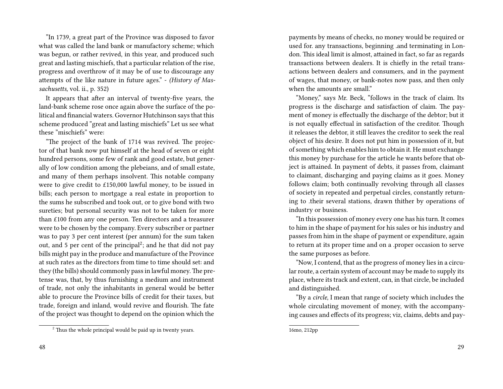"In 1739, a great part of the Province was disposed to favor what was called the land bank or manufactory scheme; which was begun, or rather revived, in this year, and produced such great and lasting mischiefs, that a particular relation of the rise, progress and overthrow of it may be of use to discourage any attempts of the like nature in future ages." - *(History of Massachusetts,* vol. ii., p. 352)

It appears that after an interval of twenty-five years, the land-bank scheme rose once again above the surface of the political and financial waters. Governor Hutchinson says that this scheme produced "great and lasting mischiefs" Let us see what these "mischiefs" were:

"The project of the bank of 1714 was revived. The projector of that bank now put himself at the head of seven or eight hundred persons, some few of rank and good estate, but generally of low condition among the plebeians, and of small estate, and many of them perhaps insolvent. This notable company were to give credit to £150,000 lawful money, to be issued in bills; each person to mortgage a real estate in proportion to the sums he subscribed and took out, or to give bond with two sureties; but personal security was not to be taken for more than £100 from any one person. Ten directors and a treasurer were to be chosen by the company. Every subscriber or partner was to pay 3 per cent interest (per annum) for the sum taken out, and 5 per cent of the principal<sup>2</sup>; and he that did not pay bills might pay in the produce and manufacture of the Province at such rates as the directors from time to time should set: and they (the bills) should commonly pass in lawful money.The pretense was, that, by thus furnishing a medium and instrument of trade, not only the inhabitants in general would be better able to procure the Province bills of credit for their taxes, but trade, foreign and inland, would revive and flourish. The fate of the project was thought to depend on the opinion which the

 $2$  Thus the whole principal would be paid up in twenty years.

payments by means of checks, no money would be required or used for. any transactions, beginning .and terminating in London. This ideal limit is almost, attained in fact, so far as regards transactions between dealers. It is chiefly in the retail transactions between dealers and consumers, and in the payment of wages, that money, or bank-notes now pass, and then only when the amounts are small."

"Money," says Mr. Beck, "follows in the track of claim. Its progress is the discharge and satisfaction of claim. The payment of money is effectually the discharge of the debtor; but it is not equally effectual in satisfaction of the creditor. Though it releases the debtor, it still leaves the creditor to seek the real object of his desire. It does not put him in possession of it, but of something which enables him to obtain it. He must exchange this money by purchase for the article he wants before that object is attained. In payment of debts, it passes from, claimant to claimant, discharging and paying claims as it goes. Money follows claim; both continually revolving through all classes of society in repeated and perpetual circles, constantly returning to .their several stations, drawn thither by operations of industry or business.

"In this possession of money every one has his turn. It comes to him in the shape of payment for his sales or his industry and passes from him in the shape of payment or expenditure, again to return at its proper time and on a .proper occasion to serve the same purposes as before.

"Now, I contend, that as the progress of money lies in a circular route, a certain system of account may be made to supply its place, where its track and extent, can, in that circle, be included and distinguished.

"By a *circle*, I mean that range of society which includes the whole circulating movement of money, with the accompanying causes and effects of its progress; viz, claims, debts and pay-

<sup>16</sup>mo, 212pp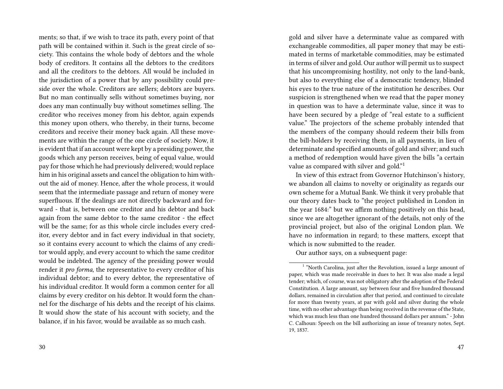ments; so that, if we wish to trace its path, every point of that path will be contained within it. Such is the great circle of society. This contains the whole body of debtors and the whole body of creditors. It contains all the debtors to the creditors and all the creditors to the debtors. All would be included in the jurisdiction of a power that by any possibility could preside over the whole. Creditors are sellers; debtors are buyers. But no man continually sells without sometimes buying, nor does any man continually buy without sometimes selling. The creditor who receives money from his debtor, again expends this money upon others, who thereby, in their turns, become creditors and receive their money back again. All these movements are within the range of the one circle of society. Now, it is evident that if an account were kept by a presiding power, the goods which any person receives, being of equal value, would pay for those which he had previously delivered; would replace him in his original assets and cancel the obligation to him without the aid of money. Hence, after the whole process, it would seem that the intermediate passage and return of money were superfluous. If the dealings are not directly backward and forward - that is, between one creditor and his debtor and back again from the same debtor to the same creditor - the effect will be the same; for as this whole circle includes every creditor, every debtor and in fact every individual in that society, so it contains every account to which the claims of any creditor would apply, and every account to which the same creditor would be indebted. The agency of the presiding power would render it *pro forma,* the representative to every creditor of his individual debtor; and to every debtor, the representative of his individual creditor. It would form a common center for all claims by every creditor on his debtor. It would form the channel for the discharge of his debts and the receipt of his claims. It would show the state of his account with society, and the balance, if in his favor, would be available as so much cash.

gold and silver have a determinate value as compared with exchangeable commodities, all paper money that may be estimated in terms of marketable commodities, may be estimated in terms of silver and gold. Our author will permit us to suspect that his uncompromising hostility, not only to the land-bank, but also to everything else of a democratic tendency, blinded his eyes to the true nature of the institution he describes. Our suspicion is strengthened when we read that the paper money in question was to have a determinate value, since it was to have been secured by a pledge of "real estate to a sufficient value." The projectors of the scheme probably intended that the members of the company should redeem their bills from the bill-holders by receiving them, in all payments, in lieu of determinate and specified amounts of gold and silver; and such a method of redemption would have given the bills "a certain value as compared with silver and gold."<sup>1</sup>

In view of this extract from Governor Hutchinson's history, we abandon all claims to novelty or originality as regards our own scheme for a Mutual Bank. We think it very probable that our theory dates back to "the project published in London in the year 1684:" but we affirm nothing positively on this head, since we are altogether ignorant of the details, not only of the provincial project, but also of the original London plan. We have no information in regard; to these matters, except that which is now submitted to the reader.

Our author says, on a subsequent page:

<sup>&</sup>lt;sup>1</sup> "North Carolina, just after the Revolution, issued a large amount of paper, which was made receivable in dues to her. It was also made a legal tender; which, of course, was not obligatory after the adoption of the Federal Constitution. A large amount, say between four and five hundred thousand dollars, remained in circulation after that period, and continued to circulate for more than twenty years, at par with gold and silver during the whole time, with no other advantage than being received in the revenue of the State, which was much less than one hundred thousand dollars per annum." - John C. Calhoun: Speech on the bill authorizing an issue of treasury notes, Sept. 19, 1837.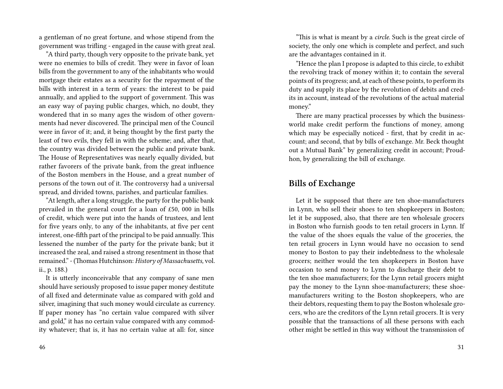a gentleman of no great fortune, and whose stipend from the government was trifling - engaged in the cause with great zeal.

"A third party, though very opposite to the private bank, yet were no enemies to bills of credit. They were in favor of loan bills from the government to any of the inhabitants who would mortgage their estates as a security for the repayment of the bills with interest in a term of years: the interest to be paid annually, and applied to the support of government. This was an easy way of paying public charges, which, no doubt, they wondered that in so many ages the wisdom of other governments had never discovered. The principal men of the Council were in favor of it; and, it being thought by the first party the least of two evils, they fell in with the scheme; and, after that, the country was divided between the public and private bank. The House of Representatives was nearly equally divided, but rather favorers of the private bank, from the great influence of the Boston members in the House, and a great number of persons of the town out of it. The controversy had a universal spread, and divided towns, parishes, and particular families.

"At length, after a long struggle, the party for the public bank prevailed in the general court for a loan of £50, 000 in bills of credit, which were put into the hands of trustees, and lent for five years only, to any of the inhabitants, at five per cent interest, one-fifth part of the principal to be paid annually. This lessened the number of the party for the private bank; but it increased the zeal, and raised a strong resentment in those that remained." - (Thomas Hutchinson: *History of Massachusetts,* vol. ii., p. 188.)

It is utterly inconceivable that any company of sane men should have seriously proposed to issue paper money destitute of all fixed and determinate value as compared with gold and silver, imagining that such money would circulate as currency. If paper money has "no certain value compared with silver and gold," it has no certain value compared with any commodity whatever; that is, it has no certain value at all: for, since

"This is what is meant by a *circle.* Such is the great circle of society, the only one which is complete and perfect, and such are the advantages contained in it.

"Hence the plan I propose is adapted to this circle, to exhibit the revolving track of money within it; to contain the several points of its progress; and, at each of these points, to perform its duty and supply its place by the revolution of debits and credits in account, instead of the revolutions of the actual material money."

There are many practical processes by which the businessworld make credit perform the functions of money, among which may be especially noticed - first, that by credit in account; and second, that by bills of exchange. Mr. Beck thought out a Mutual Bank" by generalizing credit in account; Proudhon, by generalizing the bill of exchange.

#### **Bills of Exchange**

Let it be supposed that there are ten shoe-manufacturers in Lynn, who sell their shoes to ten shopkeepers in Boston; let it be supposed, also, that there are ten wholesale grocers in Boston who furnish goods to ten retail grocers in Lynn. If the value of the shoes equals the value of the groceries, the ten retail grocers in Lynn would have no occasion to send money to Boston to pay their indebtedness to the wholesale grocers; neither would the ten shopkeepers in Boston have occasion to send money to Lynn to discharge their debt to the ten shoe manufacturers; for the Lynn retail grocers might pay the money to the Lynn shoe-manufacturers; these shoemanufacturers writing to the Boston shopkeepers, who are their debtors, requesting them to pay the Boston wholesale grocers, who are the creditors of the Lynn retail grocers. It is very possible that the transactions of all these persons with each other might be settled in this way without the transmission of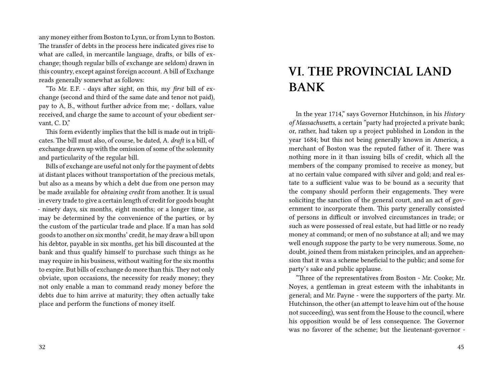any money either from Boston to Lynn, or from Lynn to Boston. The transfer of debts in the process here indicated gives rise to what are called, in mercantile language, drafts, or bills of exchange; though regular bills of exchange are seldom) drawn in this country, except against foreign account. A bill of Exchange reads generally somewhat as follows:

"To Mr. E.F. - days after sight, on this, my *first* bill of exchange (second and third of the same date and tenor not paid), pay to A, B., without further advice from me; - dollars, value received, and charge the same to account of your obedient servant, C. D,"

This form evidently implies that the bill is made out in triplicates. The bill must also, of course, be dated, A. *draft* is a bill, of exchange drawn up with the omission of some of the solemnity and particularity of the regular bill.

Bills of exchange are useful not only for the payment of debts at distant places without transportation of the precious metals, but also as a means by which a debt due from one person may be made available for *obtaining credit* from another. It is usual in every trade to give a certain length of credit for goods bought - ninety days, six months, eight months; or a longer time, as may be determined by the convenience of the parties, or by the custom of the particular trade and place. If a man has sold goods to another on six months' credit, he may draw a bill upon his debtor, payable in six months, get his bill discounted at the bank and thus qualify himself to purchase such things as he may require in his business, without waiting for the six months to expire. But bills of exchange do more than this. They not only obviate, upon occasions, the necessity for ready money; they not only enable a man to command ready money before the debts due to him arrive at maturity; they often actually take place and perform the functions of money itself.

# **VI. THE PROVINCIAL LAND BANK**

In the year 1714," says Governor Hutchinson, in his *History of Massachusetts,* a certain "party had projected a private bank; or, rather, had taken up a project published in London in the year 1684; but this not being generally known in America, a merchant of Boston was the reputed father of it. There was nothing more in it than issuing bills of credit, which all the members of the company promised to receive as money, but at no certain value compared with silver and gold; and real estate to a sufficient value was to be bound as a security that the company should perform their engagements. They were soliciting the sanction of the general court, and an act of government to incorporate them. This party generally consisted of persons in difficult or involved circumstances in trade; or such as were possessed of real estate, but had little or no ready money at command; or men of no substance at all; and we may well enough suppose the party to be very numerous. Some, no doubt, joined them from mistaken principles, and an apprehension that it was a scheme beneficial to the public; and some for party's sake and public applause.

"Three of the representatives from Boston - Mr. Cooke; Mr. Noyes, a gentleman in great esteem with the inhabitants in general; and Mr. Payne - were the supporters of the party. Mr. Hutchinson, the other (an attempt to leave him out of the house not succeeding), was sent from the House to the council, where his opposition would be of less consequence. The Governor was no favorer of the scheme; but the lieutenant-governor -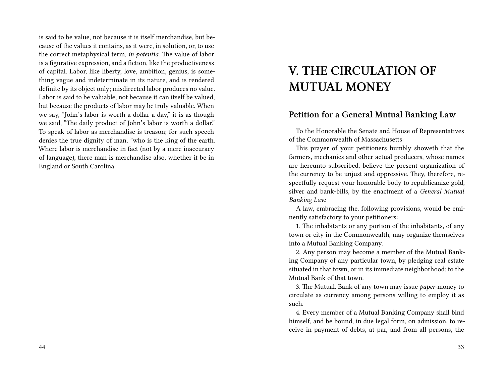is said to be value, not because it is itself merchandise, but because of the values it contains, as it were, in solution, or, to use the correct metaphysical term, *in potentia.* The value of labor is a figurative expression, and a fiction, like the productiveness of capital. Labor, like liberty, love, ambition, genius, is something vague and indeterminate in its nature, and is rendered definite by its object only; misdirected labor produces no value. Labor is said to be valuable, not because it can itself be valued, but because the products of labor may be truly valuable. When we say, "John's labor is worth a dollar a day," it is as though we said, "The daily product of John's labor is worth a dollar." To speak of labor as merchandise is treason; for such speech denies the true dignity of man, "who is the king of the earth. Where labor is merchandise in fact (not by a mere inaccuracy of language), there man is merchandise also, whether it be in England or South Carolina.

# **V. THE CIRCULATION OF MUTUAL MONEY**

### **Petition for a General Mutual Banking Law**

To the Honorable the Senate and House of Representatives of the Commonwealth of Massachusetts:

This prayer of your petitioners humbly showeth that the farmers, mechanics and other actual producers, whose names are hereunto subscribed, believe the present organization of the currency to be unjust and oppressive. They, therefore, respectfully request your honorable body to republicanize gold, silver and bank-bills, by the enactment of a *General Mutual Banking Law.*

A law, embracing the, following provisions, would be eminently satisfactory to your petitioners:

1. The inhabitants or any portion of the inhabitants, of any town or city in the Commonwealth, may organize themselves into a Mutual Banking Company.

2. Any person may become a member of the Mutual Banking Company of any particular town, by pledging real estate situated in that town, or in its immediate neighborhood; to the Mutual Bank of that town.

3. The Mutual. Bank of any town may issue *paper-*money to circulate as currency among persons willing to employ it as such.

4. Every member of a Mutual Banking Company shall bind himself, and be bound, in due legal form, on admission, to receive in payment of debts, at par, and from all persons, the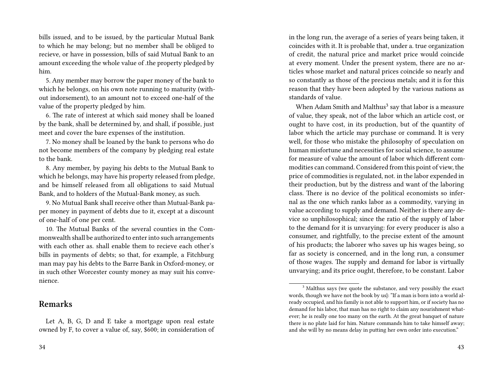bills issued, and to be issued, by the particular Mutual Bank to which he may belong; but no member shall be obliged to recieve, or have in possession, bills of said Mutual Bank to an amount exceeding the whole value of .the property pledged by him.

5. Any member may borrow the paper money of the bank to which he belongs, on his own note running to maturity (without indorsement), to an amount not to exceed one-half of the value of the property pledged by him.

6. The rate of interest at which said money shall be loaned by the bank, shall be determined by, and shall, if possible, just meet and cover the bare expenses of the institution.

7. No money shall be loaned by the bank to persons who do not become members of the company by pledging real estate to the bank.

8. Any member, by paying his debts to the Mutual Bank to which he belongs, may have his property released from pledge, and be himself released from all obligations to said Mutual Bank, and to holders of the Mutual-Bank money, as such.

9. No Mutual Bank shall receive other than Mutual-Bank paper money in payment of debts due to it, except at a discount of one-half of one per cent.

10. The Mutual Banks of the several counties in the Commonwealth shall be authorized to enter into such arrangements with each other as. shall enable them to recieve each other's bills in payments of debts; so that, for example, a Fitchburg man may pay his debts to the Barre Bank in Oxford-money, or in such other Worcester county money as may suit his convenience.

#### **Remarks**

Let A, B, G, D and E take a mortgage upon real estate owned by F, to cover a value of, say, \$600; in consideration of in the long run, the average of a series of years being taken, it coincides with it. It is probable that, under a. true organization of credit, the natural price and market price would coincide at every moment. Under the present system, there are no articles whose market and natural prices coincide so nearly and so constantly as those of the precious metals; and it is for this reason that they have been adopted by the various nations as standards of value.

When Adam Smith and Malthus $^3$  say that labor is a measure of value, they speak, not of the labor which an article cost, or ought to have cost, in its production, but of the quantity of labor which the article may purchase or command. It is very well, for those who mistake the philosophy of speculation on human misfortune and necessities for social science, to assume for measure of value the amount of labor which different commodities can command. Considered from this point of view, the price of commodities is regulated, not. in the labor expended in their production, but by the distress and want of the laboring class. There is no device of the political economists so infernal as the one which ranks labor as a commodity, varying in value according to supply and demand. Neither is there any device so unphilosophical; since the ratio of the supply of labor to the demand for it is unvarying: for every producer is also a consumer, and rightfully, to the precise extent of the amount of his products; the laborer who saves up his wages being, so far as society is concerned, and in the long run, a consumer of those wages. The supply and demand for labor is virtually unvarying; and its price ought, therefore, to be constant. Labor

<sup>&</sup>lt;sup>3</sup> Malthus says (we quote the substance, and very possibly the exact words, though we have not the book by us}: "If a man is born into a world already occupied, and his family is not able to support him, or if society has no demand for his labor, that man has no right to claim any nourishment whatever; he is really one too many on the earth. At the great banquet of nature there is no plate laid for him. Nature commands him to take himself away; and she will by no means delay in putting her own order into execution."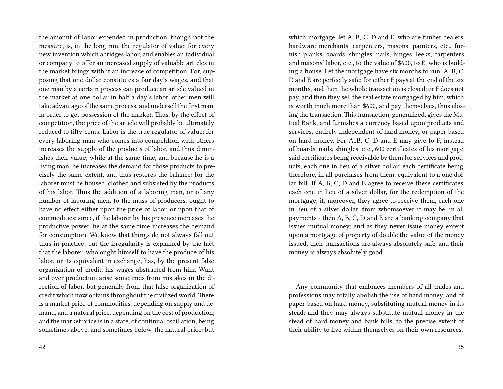the amount of labor expended in production, though not the measure, is, in the long run, the regulator of value; for every new invention which abridges labor, and enables an individual or company to offer an increased supply of valuable articles in the market brings with it an increase of competition. For, supposing that one dollar constitutes a fair day's wages, and that one man by a certain process can produce an article valued in the market at one dollar in half a day's labor, other men will take advantage of the same process, and undersell the first man, in order to get possession of the market. Thus, by the effect of competition, the price of the article will probably be ultimately reduced to fifty cents. Labor is the true regulator of value; for every laboring man who comes into competition with others increases the supply of the products of labor, and thus diminishes their value; while at the same time, and because he is a living man, he increases the demand for those products to precisely the same extent, and thus restores the balance: for the laborer must be housed, clothed and subsisted by the products of his labor. Thus the addition of a laboring man, or of any number of laboring men, to the mass of producers, ought to have no effect either upon the price of labor, or upon that of commodities; since, if the laborer by his presence increases the productive power, he at the same time increases the demand for consumption. We know that things do not always fall out thus in practice; but the irregularity is explained by the fact that the laborer, who ought himself to have the produce of his labor, or its equivalent in exchange, has, by the present false organization of credit, his wages abstracted from him. Want and over production arise sometimes from mistakes in the direction of labor, but generally from that false organization of credit which now obtains throughout the civilized world. There is a market price of commodities, depending on supply and demand, and a natural price, depending on the cost of production; and the market price is in a state, of continual oscillation, being sometimes above, and sometimes below, the natural price: but

which mortgage, let A, B, C, D and E, who are timber dealers, hardware merchants, carpenters, masons, painters, etc., furnish planks, boards, shingles, nails, hinges, leeks, carpenters and masons' labor, etc., to the value of \$600, to E, who is building a house. Let the mortgage have six months to run. A, B, C, D and E are perfectly safe; for either F pays at the end of the six months, and then the whole transaction is closed; or F does not pay, and then they sell the real estate mortgaged by him, which is worth much more than \$600, and pay themselves, thus closing the transaction. This transaction, generalized, gives the Mutual Bank, and furnishes a currency based upon products and services, entirely independent of hard money, or paper based on hard money. For A,.B, C, D and E may give to F, instead of boards, nails, shingles, etc., 600 certificates of his mortgage, said certificates being receivable by them for services and products, each one in lieu of a silver dollar; each certificate being, therefore, in all purchases from them, equivalent to a one dollar bill. If A, B, C, D and E agree to receive these certificates, each one in lieu of a silver dollar, for the redemption of the mortgage; if, moreover, they agree to receive them, each one in lieu of a silver dollar, from whomsoever it may be, in all payments - then A, B, C, D and E are a banking company that issues mutual money; and as they never issue money except upon a mortgage of property of double the value of the money issued, their transactions are always absolutely safe, and their money is always absolutely good.

Any community that embraces members of all trades and professions may totally abolish the use of hard money, and of paper based on hard money, substituting mutual money in its stead; and they may always substitute mutual money in the stead of hard money and bank bills, to the precise extent of their ability to live within themselves on their own resources.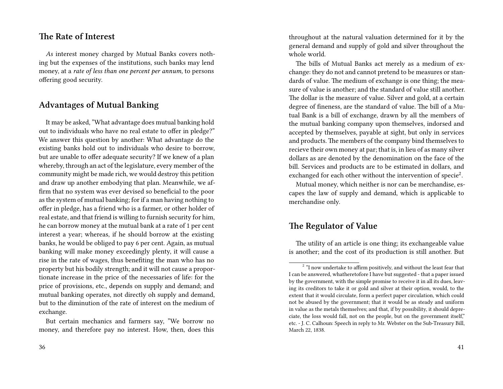#### **The Rate of Interest**

*As* interest money charged by Mutual Banks covers nothing but the expenses of the institutions, such banks may lend money, at a *rate of less than one percent per annum,* to persons offering good security.

### **Advantages of Mutual Banking**

It may be asked, "What advantage does mutual banking hold out to individuals who have no real estate to offer in pledge?" We answer this question by another: What advantage do the existing banks hold out to individuals who desire to borrow, but are unable to offer adequate security? If we knew of a plan whereby, through an act of the legislature, every member of the community might be made rich, we would destroy this petition and draw up another embodying that plan. Meanwhile, we affirm that no system was ever devised so beneficial to the poor as the system of mutual banking; for if a man having nothing to offer in pledge, has a friend who is a farmer, or other holder of real estate, and that friend is willing to furnish security for him, he can borrow money at the mutual bank at a rate of 1 per cent interest a year; whereas, if he should borrow at the existing banks, he would be obliged to pay 6 per cent. Again, as mutual banking will make money exceedingly plenty, it will cause a rise in the rate of wages, thus benefiting the man who has no property but his bodily strength; and it will not cause a proportionate increase in the price of the necessaries of life: for the price of provisions, etc., depends on supply and demand; and mutual banking operates, not directly oh supply and demand, but to the diminution of the rate of interest on the medium of exchange.

throughout at the natural valuation determined for it by the general demand and supply of gold and silver throughout the whole world.

The bills of Mutual Banks act merely as a medium of exchange: they do not and cannot pretend to be measures or standards of value. The medium of exchange is one thing; the measure of value is another; and the standard of value still another. The dollar is the measure of value. Silver and gold, at a certain degree of fineness, are the standard of value. The bill of a Mutual Bank is a bill of exchange, drawn by all the members of the mutual banking company upon themselves, indorsed and accepted by themselves, payable at sight, but only in services and products. The members of the company bind themselves to recieve their own money at par; that is, in lieu of as many silver dollars as are denoted by the denomination on the face of the bill. Services and products are to be estimated in dollars, and exchanged for each other without the intervention of specie<sup>2</sup>.

Mutual money, which neither is nor can be merchandise, escapes the law of supply and demand, which is applicable to merchandise only.

#### **The Regulator of Value**

The utility of an article is one thing; its exchangeable value is another; and the cost of its production is still another. But

But certain mechanics and farmers say, "We borrow no money, and therefore pay no interest. How, then, does this

 $2$  "I now undertake to affirm positively, and without the least fear that I can be answered, whatheretofore I have but suggested - that a paper issued by the government, with the simple promise to receive it in all its dues, leaving its creditors to take it or gold and silver at their option, would, to the extent that it would circulate, form a perfect paper circulation, which could not be abused by the government; that it would be as steady and uniform in value as the metals themselves; and that, if by possibility, it should depreciate, the loss would fall, not on the people, but on the government itself," etc. - J. C. Calhoun: Speech in reply to Mr. Webster on the Sub-Treasury Bill, March 22, 1838.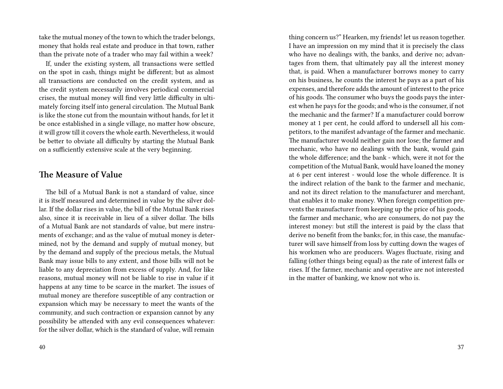take the mutual money of the town to which the trader belongs, money that holds real estate and produce in that town, rather than the private note of a trader who may fail within a week?

If, under the existing system, all transactions were settled on the spot in cash, things might be different; but as almost all transactions are conducted on the credit system, and as the credit system necessarily involves periodical commercial crises, the mutual money will find very little difficulty in ultimately forcing itself into general circulation. The Mutual Bank is like the stone cut from the mountain without hands, for let it be once established in a single village, no matter how obscure, it will grow till it covers the whole earth. Nevertheless, it would be better to obviate all difficulty by starting the Mutual Bank on a sufficiently extensive scale at the very beginning.

#### **The Measure of Value**

The bill of a Mutual Bank is not a standard of value, since it is itself measured and determined in value by the silver dollar. If the dollar rises in value, the bill of the Mutual Bank rises also, since it is receivable in lieu of a silver dollar. The bills of a Mutual Bank are not standards of value, but mere instruments of exchange; and as the value of mutual money is determined, not by the demand and supply of mutual money, but by the demand and supply of the precious metals, the Mutual Bank may issue bills to any extent, and those bills will not be liable to any depreciation from excess of supply. And, for like reasons, mutual money will not be liable to rise in value if it happens at any time to be scarce in the market. The issues of mutual money are therefore susceptible of any contraction or expansion which may be necessary to meet the wants of the community, and such contraction or expansion cannot by any possibility be attended with any evil consequences whatever: for the silver dollar, which is the standard of value, will remain

I have an impression on my mind that it is precisely the class who have no dealings with, the banks, and derive no; advantages from them, that ultimately pay all the interest money that, is paid. When a manufacturer borrows money to carry on his business, he counts the interest he pays as a part of his expenses, and therefore adds the amount of interest to the price of his goods. The consumer who buys the goods pays the interest when he pays for the goods; and who is the consumer, if not the mechanic and the farmer? If a manufacturer could borrow money at 1 per cent, he could afford to undersell all his competitors, to the manifest advantage of the farmer and mechanic. The manufacturer would neither gain nor lose; the farmer and mechanic, who have no dealings with the bank, would gain the whole difference; and the bank - which, were it not for the competition of the Mutual Bank, would have loaned the money at 6 per cent interest - would lose the whole difference. It is the indirect relation of the bank to the farmer and mechanic, and not its direct relation to the manufacturer and merchant, that enables it to make money. When foreign competition prevents the manufacturer from keeping up the price of his goods, the farmer and mechanic, who are consumers, do not pay the interest money: but still the interest is paid by the class that derive no benefit from the banks; for, in this case, the manufacturer will save himself from loss by cutting down the wages of his workmen who are producers. Wages fluctuate, rising and falling (other things being equal) as the rate of interest falls or rises. If the farmer, mechanic and operative are not interested in the matter of banking, we know not who is.

thing concern us?" Hearken, my friends! let us reason together.